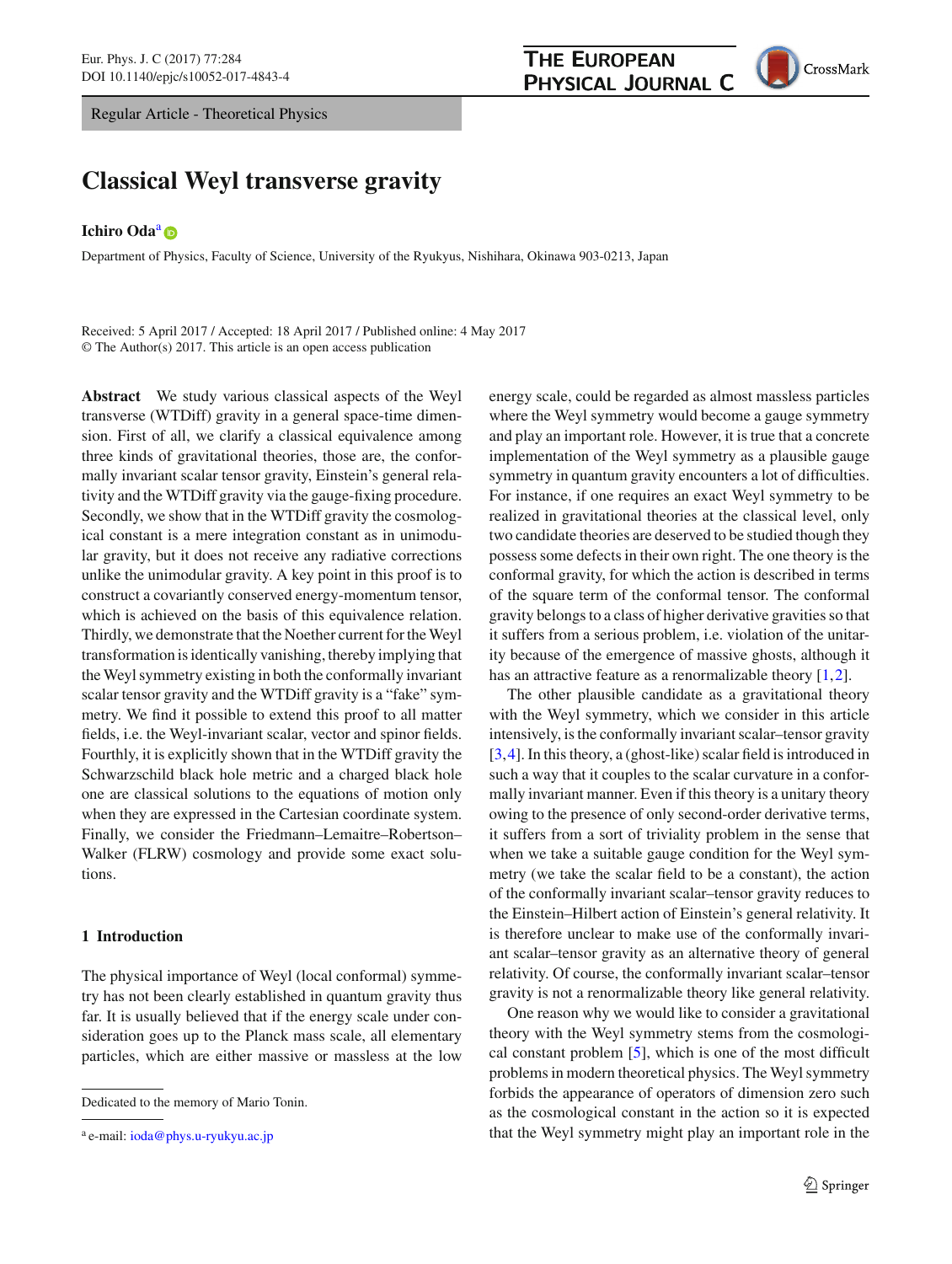Regular Article - Theoretical Physics

# **THE EUROPEAN** PHYSICAL JOURNAL C



# **Classical Weyl transverse gravity**

## **Ichiro Oda**<sup>a</sup><sup>o</sup>

Department of Physics, Faculty of Science, University of the Ryukyus, Nishihara, Okinawa 903-0213, Japan

Received: 5 April 2017 / Accepted: 18 April 2017 / Published online: 4 May 2017 © The Author(s) 2017. This article is an open access publication

**Abstract** We study various classical aspects of the Weyl transverse (WTDiff) gravity in a general space-time dimension. First of all, we clarify a classical equivalence among three kinds of gravitational theories, those are, the conformally invariant scalar tensor gravity, Einstein's general relativity and the WTDiff gravity via the gauge-fixing procedure. Secondly, we show that in the WTDiff gravity the cosmological constant is a mere integration constant as in unimodular gravity, but it does not receive any radiative corrections unlike the unimodular gravity. A key point in this proof is to construct a covariantly conserved energy-momentum tensor, which is achieved on the basis of this equivalence relation. Thirdly, we demonstrate that the Noether current for the Weyl transformation is identically vanishing, thereby implying that the Weyl symmetry existing in both the conformally invariant scalar tensor gravity and the WTDiff gravity is a "fake" symmetry. We find it possible to extend this proof to all matter fields, i.e. the Weyl-invariant scalar, vector and spinor fields. Fourthly, it is explicitly shown that in the WTDiff gravity the Schwarzschild black hole metric and a charged black hole one are classical solutions to the equations of motion only when they are expressed in the Cartesian coordinate system. Finally, we consider the Friedmann–Lemaitre–Robertson– Walker (FLRW) cosmology and provide some exact solutions.

## **1 Introduction**

The physical importance of Weyl (local conformal) symmetry has not been clearly established in quantum gravity thus far. It is usually believed that if the energy scale under consideration goes up to the Planck mass scale, all elementary particles, which are either massive or massless at the low

energy scale, could be regarded as almost massless particles where the Weyl symmetry would become a gauge symmetry and play an important role. However, it is true that a concrete implementation of the Weyl symmetry as a plausible gauge symmetry in quantum gravity encounters a lot of difficulties. For instance, if one requires an exact Weyl symmetry to be realized in gravitational theories at the classical level, only two candidate theories are deserved to be studied though they possess some defects in their own right. The one theory is the conformal gravity, for which the action is described in terms of the square term of the conformal tensor. The conformal gravity belongs to a class of higher derivative gravities so that it suffers from a serious problem, i.e. violation of the unitarity because of the emergence of massive ghosts, although it has an attractive feature as a renormalizable theory [\[1](#page-19-0),[2\]](#page-19-1).

The other plausible candidate as a gravitational theory with the Weyl symmetry, which we consider in this article intensively, is the conformally invariant scalar–tensor gravity [\[3](#page-19-2),[4\]](#page-19-3). In this theory, a (ghost-like) scalar field is introduced in such a way that it couples to the scalar curvature in a conformally invariant manner. Even if this theory is a unitary theory owing to the presence of only second-order derivative terms, it suffers from a sort of triviality problem in the sense that when we take a suitable gauge condition for the Weyl symmetry (we take the scalar field to be a constant), the action of the conformally invariant scalar–tensor gravity reduces to the Einstein–Hilbert action of Einstein's general relativity. It is therefore unclear to make use of the conformally invariant scalar–tensor gravity as an alternative theory of general relativity. Of course, the conformally invariant scalar–tensor gravity is not a renormalizable theory like general relativity.

One reason why we would like to consider a gravitational theory with the Weyl symmetry stems from the cosmological constant problem [\[5](#page-19-4)], which is one of the most difficult problems in modern theoretical physics. The Weyl symmetry forbids the appearance of operators of dimension zero such as the cosmological constant in the action so it is expected that the Weyl symmetry might play an important role in the

Dedicated to the memory of Mario Tonin.

<sup>&</sup>lt;sup>a</sup> e-mail: [ioda@phys.u-ryukyu.ac.jp](mailto:ioda@phys.u-ryukyu.ac.jp)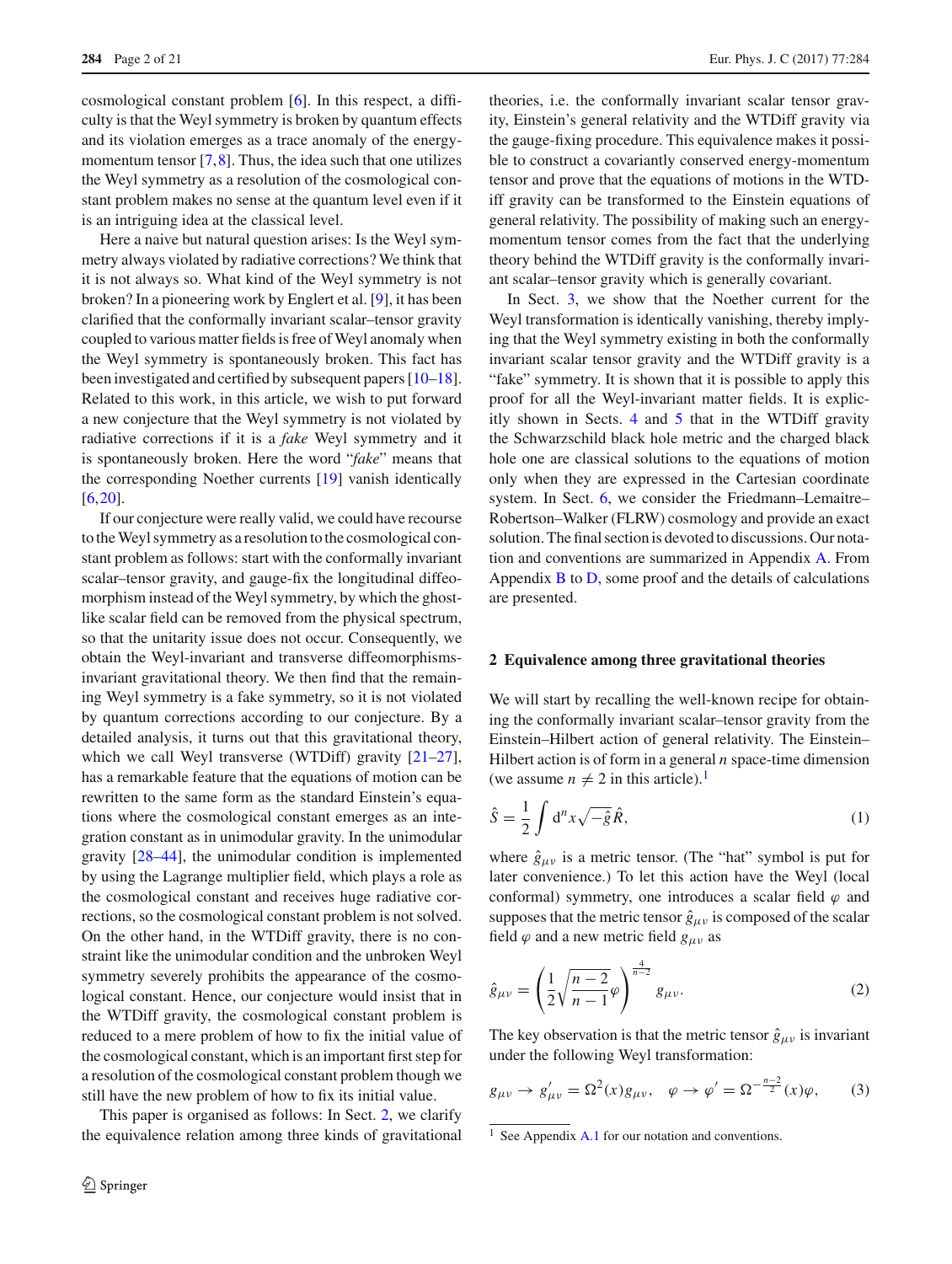**284** Page 2 of 21 Eur. Phys. J. C (2017) 77:284

cosmological constant problem [\[6\]](#page-19-5). In this respect, a difficulty is that the Weyl symmetry is broken by quantum effects and its violation emerges as a trace anomaly of the energymomentum tensor  $[7,8]$  $[7,8]$  $[7,8]$ . Thus, the idea such that one utilizes the Weyl symmetry as a resolution of the cosmological constant problem makes no sense at the quantum level even if it is an intriguing idea at the classical level.

Here a naive but natural question arises: Is the Weyl symmetry always violated by radiative corrections? We think that it is not always so. What kind of the Weyl symmetry is not broken? In a pioneering work by Englert et al. [\[9](#page-19-8)], it has been clarified that the conformally invariant scalar–tensor gravity coupled to various matter fields is free of Weyl anomaly when the Weyl symmetry is spontaneously broken. This fact has been investigated and certified by subsequent papers [\[10](#page-19-9)[–18](#page-19-10)]. Related to this work, in this article, we wish to put forward a new conjecture that the Weyl symmetry is not violated by radiative corrections if it is a *fake* Weyl symmetry and it is spontaneously broken. Here the word "*fake*" means that the corresponding Noether currents [\[19](#page-19-11)] vanish identically [\[6](#page-19-5),[20\]](#page-19-12).

If our conjecture were really valid, we could have recourse to the Weyl symmetry as a resolution to the cosmological constant problem as follows: start with the conformally invariant scalar–tensor gravity, and gauge-fix the longitudinal diffeomorphism instead of the Weyl symmetry, by which the ghostlike scalar field can be removed from the physical spectrum, so that the unitarity issue does not occur. Consequently, we obtain the Weyl-invariant and transverse diffeomorphismsinvariant gravitational theory. We then find that the remaining Weyl symmetry is a fake symmetry, so it is not violated by quantum corrections according to our conjecture. By a detailed analysis, it turns out that this gravitational theory, which we call Weyl transverse (WTDiff) gravity  $[21-27]$  $[21-27]$ , has a remarkable feature that the equations of motion can be rewritten to the same form as the standard Einstein's equations where the cosmological constant emerges as an integration constant as in unimodular gravity. In the unimodular gravity [\[28](#page-19-15)[–44\]](#page-20-0), the unimodular condition is implemented by using the Lagrange multiplier field, which plays a role as the cosmological constant and receives huge radiative corrections, so the cosmological constant problem is not solved. On the other hand, in the WTDiff gravity, there is no constraint like the unimodular condition and the unbroken Weyl symmetry severely prohibits the appearance of the cosmological constant. Hence, our conjecture would insist that in the WTDiff gravity, the cosmological constant problem is reduced to a mere problem of how to fix the initial value of the cosmological constant, which is an important first step for a resolution of the cosmological constant problem though we still have the new problem of how to fix its initial value.

This paper is organised as follows: In Sect. [2,](#page-1-0) we clarify the equivalence relation among three kinds of gravitational

theories, i.e. the conformally invariant scalar tensor gravity, Einstein's general relativity and the WTDiff gravity via the gauge-fixing procedure. This equivalence makes it possible to construct a covariantly conserved energy-momentum tensor and prove that the equations of motions in the WTDiff gravity can be transformed to the Einstein equations of general relativity. The possibility of making such an energymomentum tensor comes from the fact that the underlying theory behind the WTDiff gravity is the conformally invariant scalar–tensor gravity which is generally covariant.

In Sect. [3,](#page-4-0) we show that the Noether current for the Weyl transformation is identically vanishing, thereby implying that the Weyl symmetry existing in both the conformally invariant scalar tensor gravity and the WTDiff gravity is a "fake" symmetry. It is shown that it is possible to apply this proof for all the Weyl-invariant matter fields. It is explicitly shown in Sects. [4](#page-9-0) and [5](#page-10-0) that in the WTDiff gravity the Schwarzschild black hole metric and the charged black hole one are classical solutions to the equations of motion only when they are expressed in the Cartesian coordinate system. In Sect. [6,](#page-12-0) we consider the Friedmann–Lemaitre– Robertson–Walker (FLRW) cosmology and provide an exact solution. The final section is devoted to discussions. Our notation and conventions are summarized in Appendix [A.](#page-16-0) From Appendix  $\overline{B}$  $\overline{B}$  $\overline{B}$  to  $\overline{D}$ , some proof and the details of calculations are presented.

#### <span id="page-1-0"></span>**2 Equivalence among three gravitational theories**

We will start by recalling the well-known recipe for obtaining the conformally invariant scalar–tensor gravity from the Einstein–Hilbert action of general relativity. The Einstein– Hilbert action is of form in a general *n* space-time dimension (we assume  $n \neq 2$  in this article).<sup>1</sup>

<span id="page-1-3"></span>
$$
\hat{S} = \frac{1}{2} \int d^n x \sqrt{-\hat{g}} \hat{R},\tag{1}
$$

where  $\hat{g}_{\mu\nu}$  is a metric tensor. (The "hat" symbol is put for later convenience.) To let this action have the Weyl (local conformal) symmetry, one introduces a scalar field  $\varphi$  and supposes that the metric tensor  $\hat{g}_{\mu\nu}$  is composed of the scalar field  $\varphi$  and a new metric field  $g_{\mu\nu}$  as

<span id="page-1-2"></span>
$$
\hat{g}_{\mu\nu} = \left(\frac{1}{2}\sqrt{\frac{n-2}{n-1}}\varphi\right)^{\frac{4}{n-2}}g_{\mu\nu}.
$$
\n(2)

The key observation is that the metric tensor  $\hat{g}_{\mu\nu}$  is invariant under the following Weyl transformation:

<span id="page-1-4"></span>
$$
g_{\mu\nu} \to g'_{\mu\nu} = \Omega^2(x)g_{\mu\nu}, \quad \varphi \to \varphi' = \Omega^{-\frac{n-2}{2}}(x)\varphi, \tag{3}
$$

<span id="page-1-1"></span><sup>&</sup>lt;sup>1</sup> See Appendix [A.1](#page-16-2) for our notation and conventions.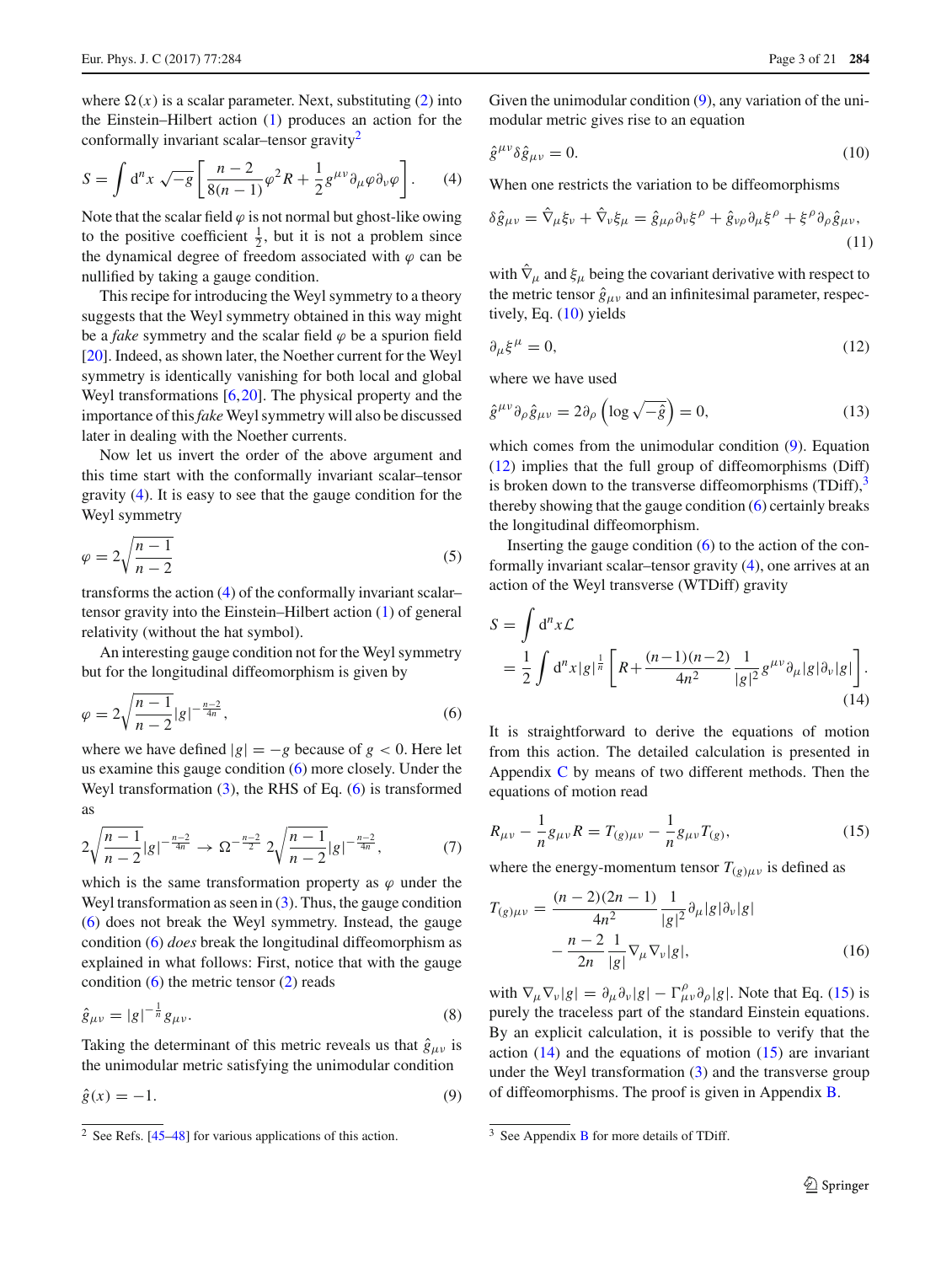where  $\Omega(x)$  is a scalar parameter. Next, substituting [\(2\)](#page-1-2) into the Einstein–Hilbert action [\(1\)](#page-1-3) produces an action for the conformally invariant scalar–tensor gravity<sup>2</sup>

<span id="page-2-1"></span>
$$
S = \int d^n x \sqrt{-g} \left[ \frac{n-2}{8(n-1)} \varphi^2 R + \frac{1}{2} g^{\mu \nu} \partial_\mu \varphi \partial_\nu \varphi \right]. \tag{4}
$$

Note that the scalar field  $\varphi$  is not normal but ghost-like owing to the positive coefficient  $\frac{1}{2}$ , but it is not a problem since the dynamical degree of freedom associated with  $\varphi$  can be nullified by taking a gauge condition.

This recipe for introducing the Weyl symmetry to a theory suggests that the Weyl symmetry obtained in this way might be a *fake* symmetry and the scalar field  $\varphi$  be a spurion field [\[20](#page-19-12)]. Indeed, as shown later, the Noether current for the Weyl symmetry is identically vanishing for both local and global Weyl transformations [\[6](#page-19-5)[,20](#page-19-12)]. The physical property and the importance of this*fake* Weyl symmetry will also be discussed later in dealing with the Noether currents.

Now let us invert the order of the above argument and this time start with the conformally invariant scalar–tensor gravity [\(4\)](#page-2-1). It is easy to see that the gauge condition for the Weyl symmetry

$$
\varphi = 2\sqrt{\frac{n-1}{n-2}}\tag{5}
$$

transforms the action [\(4\)](#page-2-1) of the conformally invariant scalar– tensor gravity into the Einstein–Hilbert action [\(1\)](#page-1-3) of general relativity (without the hat symbol).

An interesting gauge condition not for the Weyl symmetry but for the longitudinal diffeomorphism is given by

<span id="page-2-2"></span>
$$
\varphi = 2\sqrt{\frac{n-1}{n-2}}|g|^{-\frac{n-2}{4n}},\tag{6}
$$

where we have defined  $|g| = -g$  because of  $g < 0$ . Here let us examine this gauge condition [\(6\)](#page-2-2) more closely. Under the Weyl transformation  $(3)$ , the RHS of Eq.  $(6)$  is transformed as

$$
2\sqrt{\frac{n-1}{n-2}}|g|^{-\frac{n-2}{4n}} \to \Omega^{-\frac{n-2}{2}} 2\sqrt{\frac{n-1}{n-2}}|g|^{-\frac{n-2}{4n}},\tag{7}
$$

which is the same transformation property as  $\varphi$  under the Weyl transformation as seen in  $(3)$ . Thus, the gauge condition [\(6\)](#page-2-2) does not break the Weyl symmetry. Instead, the gauge condition [\(6\)](#page-2-2) *does* break the longitudinal diffeomorphism as explained in what follows: First, notice that with the gauge condition  $(6)$  the metric tensor  $(2)$  reads

$$
\hat{g}_{\mu\nu} = |g|^{-\frac{1}{n}} g_{\mu\nu}.
$$
 (8)

Taking the determinant of this metric reveals us that  $\hat{g}_{\mu\nu}$  is the unimodular metric satisfying the unimodular condition

<span id="page-2-3"></span>
$$
\hat{g}(x) = -1.\tag{9}
$$

Given the unimodular condition [\(9\)](#page-2-3), any variation of the unimodular metric gives rise to an equation

<span id="page-2-4"></span>
$$
\hat{g}^{\mu\nu}\delta\hat{g}_{\mu\nu} = 0. \tag{10}
$$

When one restricts the variation to be diffeomorphisms

$$
\delta \hat{g}_{\mu\nu} = \hat{\nabla}_{\mu} \xi_{\nu} + \hat{\nabla}_{\nu} \xi_{\mu} = \hat{g}_{\mu\rho} \partial_{\nu} \xi^{\rho} + \hat{g}_{\nu\rho} \partial_{\mu} \xi^{\rho} + \xi^{\rho} \partial_{\rho} \hat{g}_{\mu\nu},
$$
\n(1)

with  $\hat{\nabla}_{\mu}$  and  $\xi_{\mu}$  being the covariant derivative with respect to the metric tensor  $\hat{g}_{\mu\nu}$  and an infinitesimal parameter, respectively, Eq. [\(10\)](#page-2-4) yields

<span id="page-2-5"></span>
$$
\partial_{\mu}\xi^{\mu} = 0,\tag{12}
$$

where we have used

$$
\hat{g}^{\mu\nu}\partial_{\rho}\hat{g}_{\mu\nu} = 2\partial_{\rho}\left(\log\sqrt{-\hat{g}}\right) = 0,\tag{13}
$$

which comes from the unimodular condition [\(9\)](#page-2-3). Equation [\(12\)](#page-2-5) implies that the full group of diffeomorphisms (Diff) is broken down to the transverse diffeomorphisms  $(TDiff)$ ,<sup>3</sup> thereby showing that the gauge condition  $(6)$  certainly breaks the longitudinal diffeomorphism.

Inserting the gauge condition  $(6)$  to the action of the conformally invariant scalar–tensor gravity [\(4\)](#page-2-1), one arrives at an action of the Weyl transverse (WTDiff) gravity

<span id="page-2-8"></span>
$$
S = \int d^{n}x \mathcal{L}
$$
  
=  $\frac{1}{2} \int d^{n}x |g|^{\frac{1}{n}} \left[ R + \frac{(n-1)(n-2)}{4n^2} \frac{1}{|g|^2} g^{\mu \nu} \partial_{\mu} |g| \partial_{\nu} |g| \right].$  (14)

It is straightforward to derive the equations of motion from this action. The detailed calculation is presented in Appendix [C](#page-17-0) by means of two different methods. Then the equations of motion read

<span id="page-2-7"></span>
$$
R_{\mu\nu} - \frac{1}{n}g_{\mu\nu}R = T_{(g)\mu\nu} - \frac{1}{n}g_{\mu\nu}T_{(g)},
$$
\n(15)

where the energy-momentum tensor  $T_{(g)\mu\nu}$  is defined as

<span id="page-2-9"></span>
$$
T_{(g)\mu\nu} = \frac{(n-2)(2n-1)}{4n^2} \frac{1}{|g|^2} \partial_\mu |g| \partial_\nu |g|
$$

$$
- \frac{n-2}{2n} \frac{1}{|g|} \nabla_\mu \nabla_\nu |g|, \tag{16}
$$

with  $\nabla_{\mu} \nabla_{\nu} |g| = \partial_{\mu} \partial_{\nu} |g| - \Gamma^{\rho}_{\mu \nu} \partial_{\rho} |g|$ . Note that Eq. [\(15\)](#page-2-7) is purely the traceless part of the standard Einstein equations. By an explicit calculation, it is possible to verify that the action  $(14)$  and the equations of motion  $(15)$  are invariant under the Weyl transformation [\(3\)](#page-1-4) and the transverse group of diffeomorphisms. The proof is given in Appendix [B.](#page-16-1)

<span id="page-2-0"></span> $\frac{2}{3}$  See Refs. [\[45](#page-20-1)[–48](#page-20-2)] for various applications of this action.

<span id="page-2-6"></span> $3$  See Appendix [B](#page-16-1) for more details of TDiff.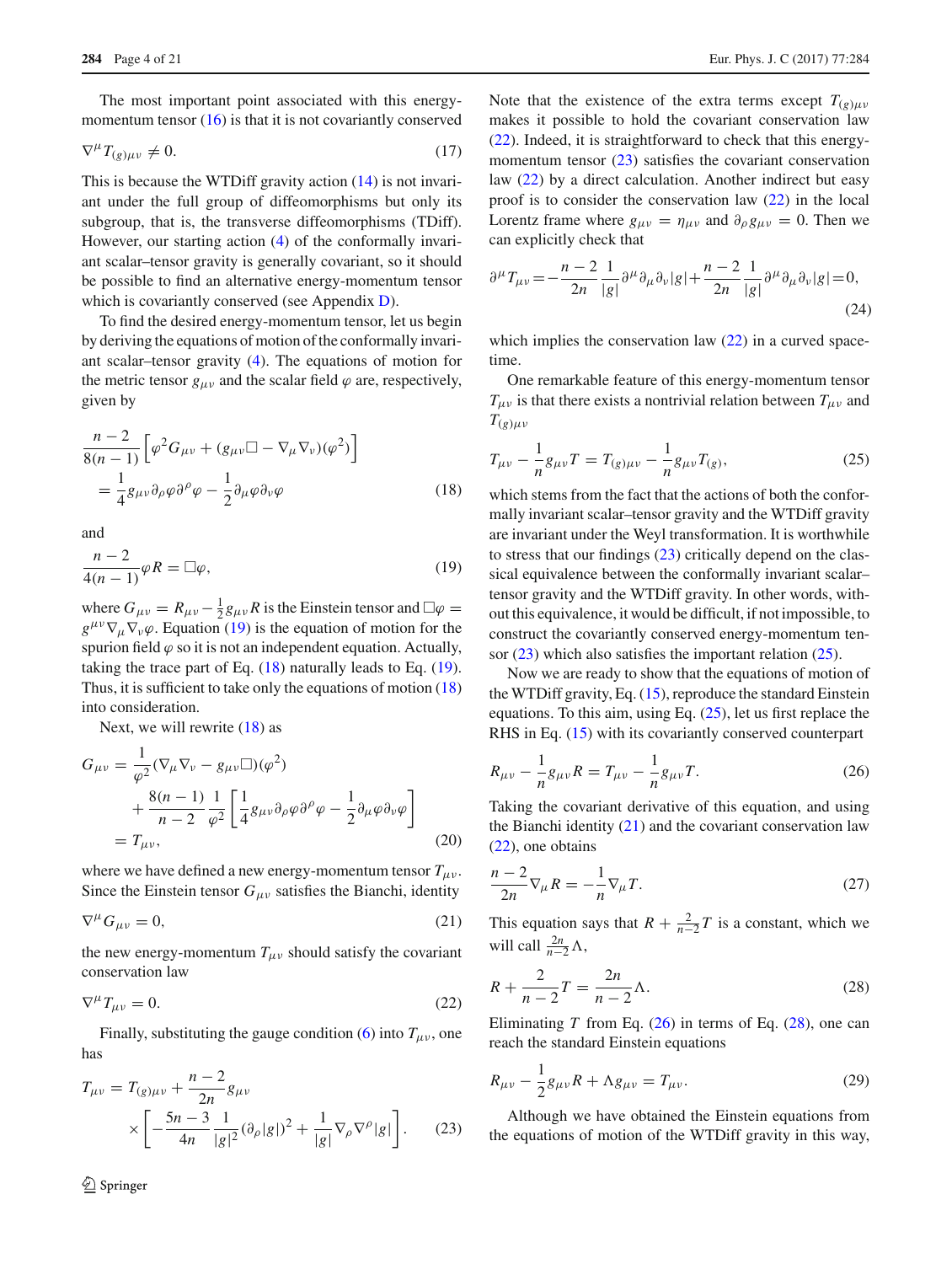The most important point associated with this energymomentum tensor  $(16)$  is that it is not covariantly conserved

$$
\nabla^{\mu} T_{(g)\mu\nu} \neq 0. \tag{17}
$$

This is because the WTDiff gravity action [\(14\)](#page-2-8) is not invariant under the full group of diffeomorphisms but only its subgroup, that is, the transverse diffeomorphisms (TDiff). However, our starting action [\(4\)](#page-2-1) of the conformally invariant scalar–tensor gravity is generally covariant, so it should be possible to find an alternative energy-momentum tensor which is covariantly conserved (see Appendix [D\)](#page-19-16).

To find the desired energy-momentum tensor, let us begin by deriving the equations of motion of the conformally invariant scalar–tensor gravity [\(4\)](#page-2-1). The equations of motion for the metric tensor  $g_{\mu\nu}$  and the scalar field  $\varphi$  are, respectively, given by

$$
\frac{n-2}{8(n-1)} \left[ \varphi^2 G_{\mu\nu} + (g_{\mu\nu} \Box - \nabla_{\mu} \nabla_{\nu}) (\varphi^2) \right]
$$
  
= 
$$
\frac{1}{4} g_{\mu\nu} \partial_{\rho} \varphi \partial^{\rho} \varphi - \frac{1}{2} \partial_{\mu} \varphi \partial_{\nu} \varphi
$$
 (18)

and

<span id="page-3-0"></span>
$$
\frac{n-2}{4(n-1)}\varphi R = \Box \varphi,\tag{19}
$$

where  $G_{\mu\nu} = R_{\mu\nu} - \frac{1}{2} g_{\mu\nu} R$  is the Einstein tensor and  $\square \varphi =$  $g^{\mu\nu}\nabla_{\mu}\nabla_{\nu}\varphi$ . Equation [\(19\)](#page-3-0) is the equation of motion for the spurion field  $\varphi$  so it is not an independent equation. Actually, taking the trace part of Eq. [\(18\)](#page-3-1) naturally leads to Eq. [\(19\)](#page-3-0). Thus, it is sufficient to take only the equations of motion [\(18\)](#page-3-1) into consideration.

Next, we will rewrite [\(18\)](#page-3-1) as

<span id="page-3-9"></span>
$$
G_{\mu\nu} = \frac{1}{\varphi^2} (\nabla_{\mu} \nabla_{\nu} - g_{\mu\nu} \square)(\varphi^2)
$$
  
+ 
$$
\frac{8(n-1)}{n-2} \frac{1}{\varphi^2} \left[ \frac{1}{4} g_{\mu\nu} \partial_{\rho} \varphi \partial^{\rho} \varphi - \frac{1}{2} \partial_{\mu} \varphi \partial_{\nu} \varphi \right]
$$
  
=  $T_{\mu\nu}$ , (20)

where we have defined a new energy-momentum tensor  $T_{\mu\nu}$ . Since the Einstein tensor  $G_{\mu\nu}$  satisfies the Bianchi, identity

<span id="page-3-5"></span>
$$
\nabla^{\mu} G_{\mu\nu} = 0,\tag{21}
$$

the new energy-momentum  $T_{\mu\nu}$  should satisfy the covariant conservation law

<span id="page-3-2"></span>
$$
\nabla^{\mu}T_{\mu\nu} = 0. \tag{22}
$$

Finally, substituting the gauge condition [\(6\)](#page-2-2) into  $T_{\mu\nu}$ , one has

<span id="page-3-3"></span>
$$
T_{\mu\nu} = T_{(g)\mu\nu} + \frac{n-2}{2n} g_{\mu\nu}
$$
  
 
$$
\times \left[ -\frac{5n-3}{4n} \frac{1}{|g|^2} (\partial_\rho |g|)^2 + \frac{1}{|g|} \nabla_\rho \nabla^\rho |g| \right].
$$
 (23)

Note that the existence of the extra terms except  $T_{(g)uv}$ makes it possible to hold the covariant conservation law [\(22\)](#page-3-2). Indeed, it is straightforward to check that this energy-momentum tensor [\(23\)](#page-3-3) satisfies the covariant conservation law [\(22\)](#page-3-2) by a direct calculation. Another indirect but easy proof is to consider the conservation law [\(22\)](#page-3-2) in the local Lorentz frame where  $g_{\mu\nu} = \eta_{\mu\nu}$  and  $\partial_{\rho}g_{\mu\nu} = 0$ . Then we can explicitly check that

$$
\partial^{\mu}T_{\mu\nu} = -\frac{n-2}{2n} \frac{1}{|g|} \partial^{\mu}\partial_{\mu}\partial_{\nu}|g| + \frac{n-2}{2n} \frac{1}{|g|} \partial^{\mu}\partial_{\mu}\partial_{\nu}|g| = 0,
$$
\n(24)

which implies the conservation law  $(22)$  in a curved spacetime.

One remarkable feature of this energy-momentum tensor  $T_{\mu\nu}$  is that there exists a nontrivial relation between  $T_{\mu\nu}$  and  $T_{(g)\mu\nu}$ 

<span id="page-3-4"></span>
$$
T_{\mu\nu} - \frac{1}{n}g_{\mu\nu}T = T_{(g)\mu\nu} - \frac{1}{n}g_{\mu\nu}T_{(g)},
$$
\n(25)

<span id="page-3-1"></span>which stems from the fact that the actions of both the conformally invariant scalar–tensor gravity and the WTDiff gravity are invariant under the Weyl transformation. It is worthwhile to stress that our findings [\(23\)](#page-3-3) critically depend on the classical equivalence between the conformally invariant scalar– tensor gravity and the WTDiff gravity. In other words, without this equivalence, it would be difficult, if not impossible, to construct the covariantly conserved energy-momentum tensor  $(23)$  which also satisfies the important relation  $(25)$ .

Now we are ready to show that the equations of motion of the WTDiff gravity, Eq. [\(15\)](#page-2-7), reproduce the standard Einstein equations. To this aim, using Eq. [\(25\)](#page-3-4), let us first replace the RHS in Eq. [\(15\)](#page-2-7) with its covariantly conserved counterpart

<span id="page-3-6"></span>
$$
R_{\mu\nu} - \frac{1}{n}g_{\mu\nu}R = T_{\mu\nu} - \frac{1}{n}g_{\mu\nu}T.
$$
 (26)

Taking the covariant derivative of this equation, and using the Bianchi identity  $(21)$  and the covariant conservation law [\(22\)](#page-3-2), one obtains

$$
\frac{n-2}{2n}\nabla_{\mu}R = -\frac{1}{n}\nabla_{\mu}T.
$$
\n(27)

This equation says that  $R + \frac{2}{n-2}T$  is a constant, which we will call  $\frac{2n}{n-2}\Lambda$ ,

<span id="page-3-7"></span>
$$
R + \frac{2}{n-2}T = \frac{2n}{n-2}\Lambda.
$$
 (28)

Eliminating *T* from Eq.  $(26)$  in terms of Eq.  $(28)$ , one can reach the standard Einstein equations

<span id="page-3-8"></span>
$$
R_{\mu\nu} - \frac{1}{2}g_{\mu\nu}R + \Lambda g_{\mu\nu} = T_{\mu\nu}.
$$
 (29)

Although we have obtained the Einstein equations from the equations of motion of the WTDiff gravity in this way,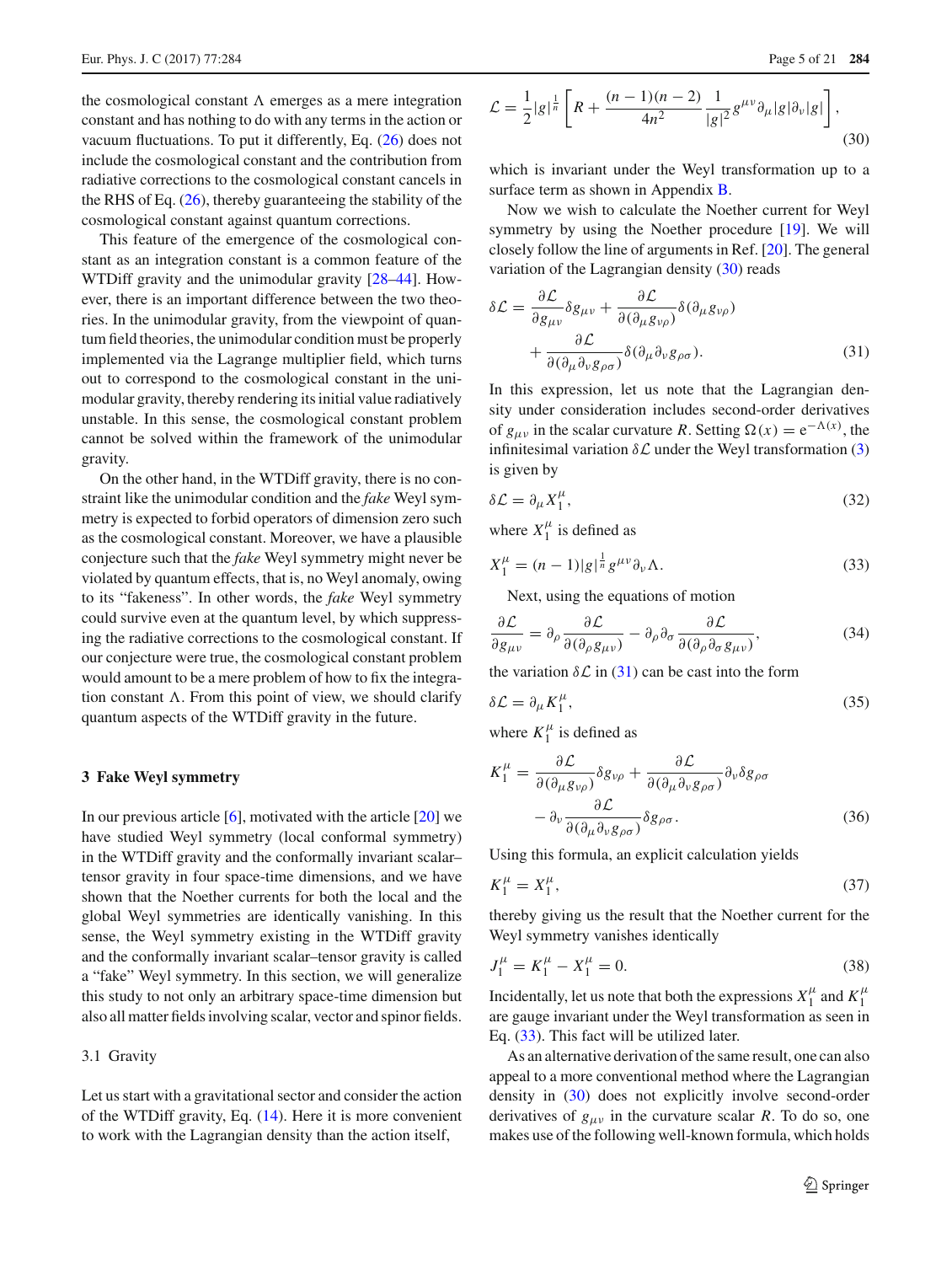the cosmological constant  $\Lambda$  emerges as a mere integration constant and has nothing to do with any terms in the action or vacuum fluctuations. To put it differently, Eq. [\(26\)](#page-3-6) does not include the cosmological constant and the contribution from radiative corrections to the cosmological constant cancels in the RHS of Eq.  $(26)$ , thereby guaranteeing the stability of the cosmological constant against quantum corrections.

This feature of the emergence of the cosmological constant as an integration constant is a common feature of the WTDiff gravity and the unimodular gravity [\[28](#page-19-15)[–44\]](#page-20-0). However, there is an important difference between the two theories. In the unimodular gravity, from the viewpoint of quantum field theories, the unimodular condition must be properly implemented via the Lagrange multiplier field, which turns out to correspond to the cosmological constant in the unimodular gravity, thereby rendering its initial value radiatively unstable. In this sense, the cosmological constant problem cannot be solved within the framework of the unimodular gravity.

On the other hand, in the WTDiff gravity, there is no constraint like the unimodular condition and the *fake* Weyl symmetry is expected to forbid operators of dimension zero such as the cosmological constant. Moreover, we have a plausible conjecture such that the *fake* Weyl symmetry might never be violated by quantum effects, that is, no Weyl anomaly, owing to its "fakeness". In other words, the *fake* Weyl symmetry could survive even at the quantum level, by which suppressing the radiative corrections to the cosmological constant. If our conjecture were true, the cosmological constant problem would amount to be a mere problem of how to fix the integration constant  $\Lambda$ . From this point of view, we should clarify quantum aspects of the WTDiff gravity in the future.

#### <span id="page-4-0"></span>**3 Fake Weyl symmetry**

In our previous article  $[6]$  $[6]$ , motivated with the article  $[20]$  $[20]$  we have studied Weyl symmetry (local conformal symmetry) in the WTDiff gravity and the conformally invariant scalar– tensor gravity in four space-time dimensions, and we have shown that the Noether currents for both the local and the global Weyl symmetries are identically vanishing. In this sense, the Weyl symmetry existing in the WTDiff gravity and the conformally invariant scalar–tensor gravity is called a "fake" Weyl symmetry. In this section, we will generalize this study to not only an arbitrary space-time dimension but also all matter fields involving scalar, vector and spinor fields.

## 3.1 Gravity

Let us start with a gravitational sector and consider the action of the WTDiff gravity, Eq. [\(14\)](#page-2-8). Here it is more convenient to work with the Lagrangian density than the action itself,

<span id="page-4-1"></span>
$$
\mathcal{L} = \frac{1}{2}|g|^{\frac{1}{n}} \left[ R + \frac{(n-1)(n-2)}{4n^2} \frac{1}{|g|^2} g^{\mu\nu} \partial_\mu |g| \partial_\nu |g| \right],\tag{30}
$$

which is invariant under the Weyl transformation up to a surface term as shown in Appendix [B.](#page-16-1)

Now we wish to calculate the Noether current for Weyl symmetry by using the Noether procedure [\[19](#page-19-11)]. We will closely follow the line of arguments in Ref. [\[20\]](#page-19-12). The general variation of the Lagrangian density [\(30\)](#page-4-1) reads

<span id="page-4-2"></span>
$$
\delta \mathcal{L} = \frac{\partial \mathcal{L}}{\partial g_{\mu\nu}} \delta g_{\mu\nu} + \frac{\partial \mathcal{L}}{\partial (\partial_{\mu} g_{\nu\rho})} \delta (\partial_{\mu} g_{\nu\rho}) + \frac{\partial \mathcal{L}}{\partial (\partial_{\mu} \partial_{\nu} g_{\rho\sigma})} \delta (\partial_{\mu} \partial_{\nu} g_{\rho\sigma}).
$$
\n(31)

In this expression, let us note that the Lagrangian density under consideration includes second-order derivatives of  $g_{\mu\nu}$  in the scalar curvature *R*. Setting  $\Omega(x) = e^{-\Lambda(x)}$ , the infinitesimal variation  $\delta \mathcal{L}$  under the Weyl transformation [\(3\)](#page-1-4) is given by

$$
\delta \mathcal{L} = \partial_{\mu} X_{1}^{\mu},\tag{32}
$$

where  $X_1^{\mu}$  is defined as

<span id="page-4-3"></span>
$$
X_1^{\mu} = (n-1)|g|^{\frac{1}{n}} g^{\mu\nu} \partial_{\nu} \Lambda.
$$
 (33)

Next, using the equations of motion

$$
\frac{\partial \mathcal{L}}{\partial g_{\mu\nu}} = \partial_{\rho} \frac{\partial \mathcal{L}}{\partial (\partial_{\rho} g_{\mu\nu})} - \partial_{\rho} \partial_{\sigma} \frac{\partial \mathcal{L}}{\partial (\partial_{\rho} \partial_{\sigma} g_{\mu\nu})},\tag{34}
$$

the variation  $\delta \mathcal{L}$  in [\(31\)](#page-4-2) can be cast into the form

$$
\delta \mathcal{L} = \partial_{\mu} K_{1}^{\mu},\tag{35}
$$

where  $K_1^{\mu}$  is defined as

$$
K_{1}^{\mu} = \frac{\partial \mathcal{L}}{\partial(\partial_{\mu}g_{\nu\rho})}\delta g_{\nu\rho} + \frac{\partial \mathcal{L}}{\partial(\partial_{\mu}\partial_{\nu}g_{\rho\sigma})}\partial_{\nu}\delta g_{\rho\sigma} - \partial_{\nu}\frac{\partial \mathcal{L}}{\partial(\partial_{\mu}\partial_{\nu}g_{\rho\sigma})}\delta g_{\rho\sigma}.
$$
 (36)

Using this formula, an explicit calculation yields

$$
K_1^{\mu} = X_1^{\mu}, \tag{37}
$$

thereby giving us the result that the Noether current for the Weyl symmetry vanishes identically

$$
J_1^{\mu} = K_1^{\mu} - X_1^{\mu} = 0. \tag{38}
$$

Incidentally, let us note that both the expressions  $X_1^{\mu}$  and  $K_1^{\mu}$ are gauge invariant under the Weyl transformation as seen in Eq. [\(33\)](#page-4-3). This fact will be utilized later.

As an alternative derivation of the same result, one can also appeal to a more conventional method where the Lagrangian density in [\(30\)](#page-4-1) does not explicitly involve second-order derivatives of  $g_{\mu\nu}$  in the curvature scalar *R*. To do so, one makes use of the following well-known formula, which holds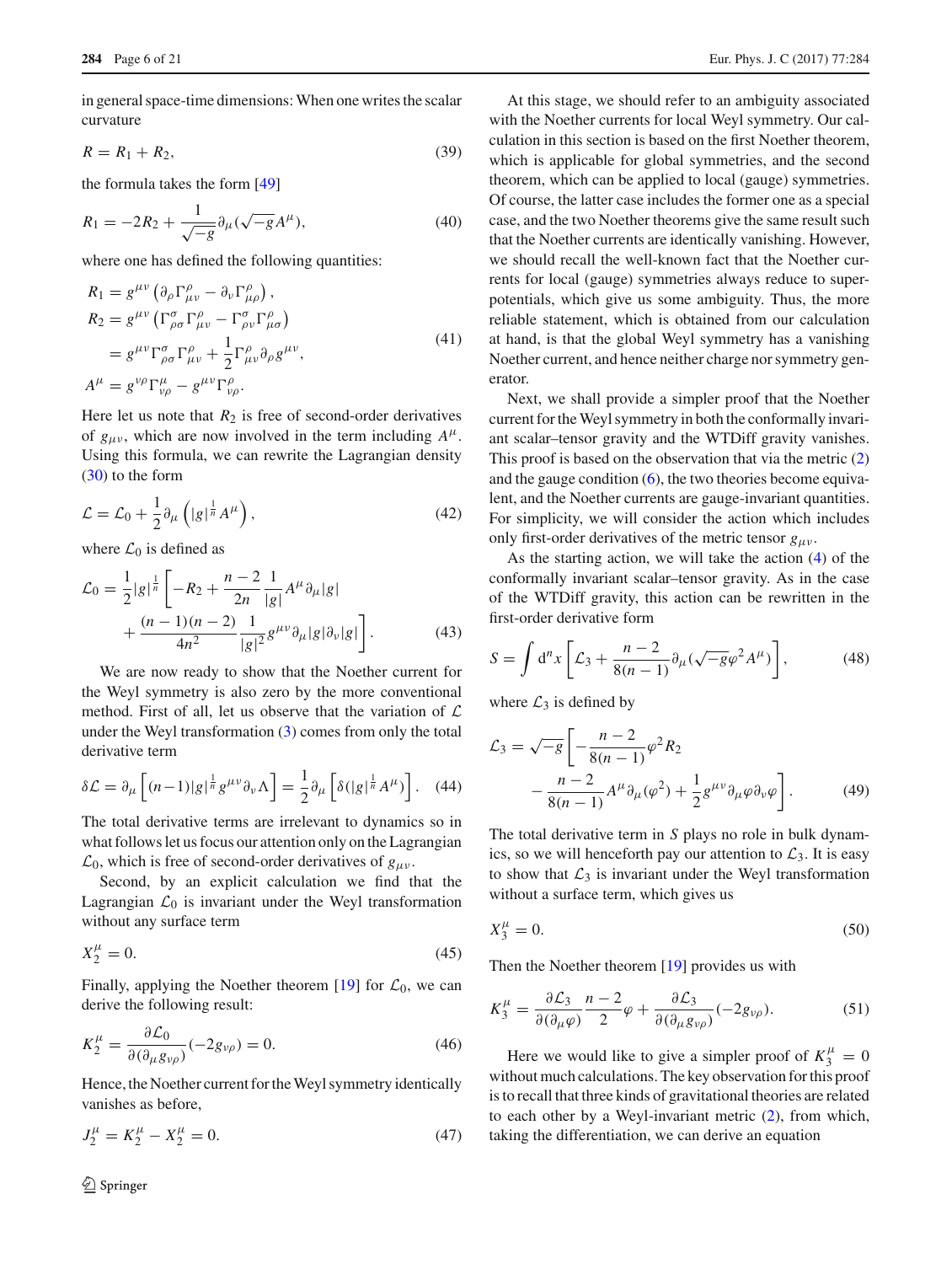in general space-time dimensions: When one writes the scalar curvature

$$
R = R_1 + R_2,\tag{39}
$$

the formula takes the form [\[49](#page-20-3)]

$$
R_1 = -2R_2 + \frac{1}{\sqrt{-g}} \partial_\mu (\sqrt{-g} A^\mu), \tag{40}
$$

where one has defined the following quantities:

$$
R_1 = g^{\mu\nu} (\partial_{\rho} \Gamma^{\rho}_{\mu\nu} - \partial_{\nu} \Gamma^{\rho}_{\mu\rho}),
$$
  
\n
$$
R_2 = g^{\mu\nu} (\Gamma^{\sigma}_{\rho\sigma} \Gamma^{\rho}_{\mu\nu} - \Gamma^{\sigma}_{\sigma\nu} \Gamma^{\rho}_{\mu\sigma})
$$
  
\n
$$
= g^{\mu\nu} \Gamma^{\sigma}_{\rho\sigma} \Gamma^{\rho}_{\mu\nu} + \frac{1}{2} \Gamma^{\rho}_{\mu\nu} \partial_{\rho} g^{\mu\nu},
$$
  
\n
$$
A^{\mu} = g^{\nu\rho} \Gamma^{\mu}_{\nu\rho} - g^{\mu\nu} \Gamma^{\rho}_{\nu\rho}.
$$
\n(41)

Here let us note that  $R_2$  is free of second-order derivatives of  $g_{\mu\nu}$ , which are now involved in the term including  $A^{\mu}$ . Using this formula, we can rewrite the Lagrangian density [\(30\)](#page-4-1) to the form

$$
\mathcal{L} = \mathcal{L}_0 + \frac{1}{2} \partial_\mu \left( |g|^\frac{1}{n} A^\mu \right),\tag{42}
$$

where  $\mathcal{L}_0$  is defined as

$$
\mathcal{L}_0 = \frac{1}{2} |g|^{\frac{1}{n}} \left[ -R_2 + \frac{n-2}{2n} \frac{1}{|g|} A^{\mu} \partial_{\mu} |g| + \frac{(n-1)(n-2)}{4n^2} \frac{1}{|g|^2} g^{\mu \nu} \partial_{\mu} |g| \partial_{\nu} |g| \right].
$$
\n(43)

We are now ready to show that the Noether current for the Weyl symmetry is also zero by the more conventional method. First of all, let us observe that the variation of *L* under the Weyl transformation [\(3\)](#page-1-4) comes from only the total derivative term

$$
\delta \mathcal{L} = \partial_{\mu} \left[ (n-1)|g|^{\frac{1}{n}} g^{\mu \nu} \partial_{\nu} \Lambda \right] = \frac{1}{2} \partial_{\mu} \left[ \delta (|g|^{\frac{1}{n}} A^{\mu}) \right]. \tag{44}
$$

The total derivative terms are irrelevant to dynamics so in what follows let us focus our attention only on the Lagrangian  $\mathcal{L}_0$ , which is free of second-order derivatives of  $g_{\mu\nu}$ .

Second, by an explicit calculation we find that the Lagrangian  $\mathcal{L}_0$  is invariant under the Weyl transformation without any surface term

$$
X_2^{\mu} = 0. \tag{45}
$$

Finally, applying the Noether theorem  $[19]$  $[19]$  for  $\mathcal{L}_0$ , we can derive the following result:

$$
K_2^{\mu} = \frac{\partial \mathcal{L}_0}{\partial (\partial_{\mu} g_{\nu \rho})} (-2g_{\nu \rho}) = 0.
$$
 (46)

Hence, the Noether current for the Weyl symmetry identically vanishes as before,

$$
J_2^{\mu} = K_2^{\mu} - X_2^{\mu} = 0. \tag{47}
$$

At this stage, we should refer to an ambiguity associated with the Noether currents for local Weyl symmetry. Our calculation in this section is based on the first Noether theorem, which is applicable for global symmetries, and the second theorem, which can be applied to local (gauge) symmetries. Of course, the latter case includes the former one as a special case, and the two Noether theorems give the same result such that the Noether currents are identically vanishing. However, we should recall the well-known fact that the Noether currents for local (gauge) symmetries always reduce to superpotentials, which give us some ambiguity. Thus, the more reliable statement, which is obtained from our calculation at hand, is that the global Weyl symmetry has a vanishing Noether current, and hence neither charge nor symmetry generator.

Next, we shall provide a simpler proof that the Noether current for the Weyl symmetry in both the conformally invariant scalar–tensor gravity and the WTDiff gravity vanishes. This proof is based on the observation that via the metric [\(2\)](#page-1-2) and the gauge condition  $(6)$ , the two theories become equivalent, and the Noether currents are gauge-invariant quantities. For simplicity, we will consider the action which includes only first-order derivatives of the metric tensor  $g_{\mu\nu}$ .

As the starting action, we will take the action [\(4\)](#page-2-1) of the conformally invariant scalar–tensor gravity. As in the case of the WTDiff gravity, this action can be rewritten in the first-order derivative form

$$
S = \int d^n x \left[ \mathcal{L}_3 + \frac{n-2}{8(n-1)} \partial_\mu (\sqrt{-g} \varphi^2 A^\mu) \right],\tag{48}
$$

where  $\mathcal{L}_3$  is defined by

$$
\mathcal{L}_3 = \sqrt{-g} \left[ -\frac{n-2}{8(n-1)} \varphi^2 R_2 - \frac{n-2}{8(n-1)} A^{\mu} \partial_{\mu} (\varphi^2) + \frac{1}{2} g^{\mu \nu} \partial_{\mu} \varphi \partial_{\nu} \varphi \right].
$$
\n(49)

The total derivative term in *S* plays no role in bulk dynamics, so we will henceforth pay our attention to  $\mathcal{L}_3$ . It is easy to show that  $\mathcal{L}_3$  is invariant under the Weyl transformation without a surface term, which gives us

$$
X_3^{\mu} = 0. \tag{50}
$$

Then the Noether theorem [\[19\]](#page-19-11) provides us with

<span id="page-5-0"></span>
$$
K_3^{\mu} = \frac{\partial \mathcal{L}_3}{\partial (\partial_{\mu} \varphi)} \frac{n-2}{2} \varphi + \frac{\partial \mathcal{L}_3}{\partial (\partial_{\mu} g_{\nu \rho})} (-2g_{\nu \rho}). \tag{51}
$$

Here we would like to give a simpler proof of  $K_3^{\mu} = 0$ without much calculations. The key observation for this proof is to recall that three kinds of gravitational theories are related to each other by a Weyl-invariant metric [\(2\)](#page-1-2), from which, taking the differentiation, we can derive an equation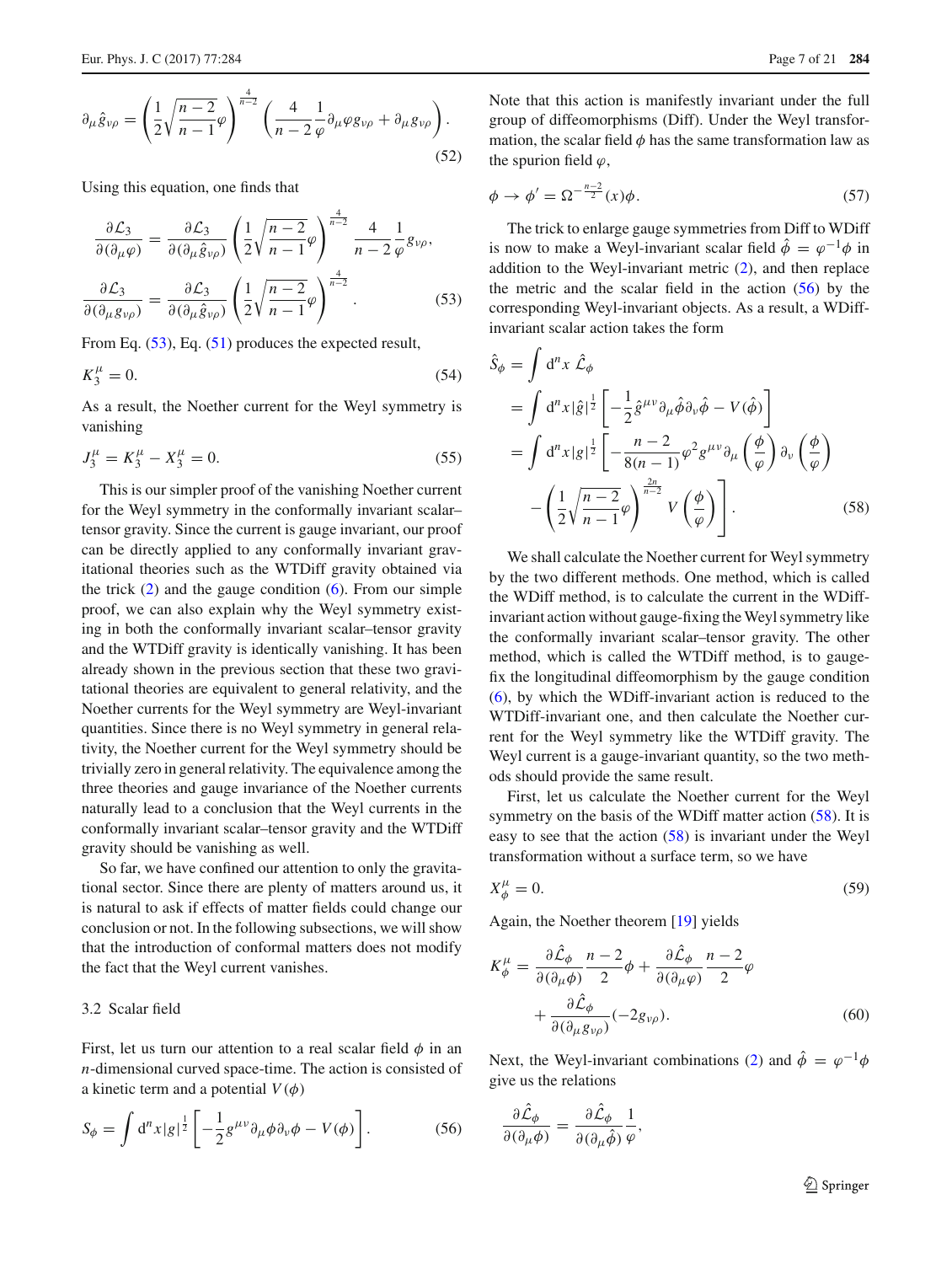$$
\partial_{\mu}\hat{g}_{\nu\rho} = \left(\frac{1}{2}\sqrt{\frac{n-2}{n-1}}\varphi\right)^{\frac{4}{n-2}} \left(\frac{4}{n-2}\frac{1}{\varphi}\partial_{\mu}\varphi g_{\nu\rho} + \partial_{\mu}g_{\nu\rho}\right).
$$
\n(52)

Using this equation, one finds that

<span id="page-6-0"></span>
$$
\frac{\partial \mathcal{L}_3}{\partial(\partial_\mu \varphi)} = \frac{\partial \mathcal{L}_3}{\partial(\partial_\mu \hat{g}_{\nu \rho})} \left( \frac{1}{2} \sqrt{\frac{n-2}{n-1}} \varphi \right)^{\frac{4}{n-2}} \frac{4}{n-2} \frac{1}{\varphi} g_{\nu \rho},
$$

$$
\frac{\partial \mathcal{L}_3}{\partial(\partial_\mu g_{\nu \rho})} = \frac{\partial \mathcal{L}_3}{\partial(\partial_\mu \hat{g}_{\nu \rho})} \left( \frac{1}{2} \sqrt{\frac{n-2}{n-1}} \varphi \right)^{\frac{4}{n-2}}.
$$
(53)

From Eq.  $(53)$ , Eq.  $(51)$  produces the expected result,

$$
K_3^{\mu} = 0. \tag{54}
$$

As a result, the Noether current for the Weyl symmetry is vanishing

$$
J_3^{\mu} = K_3^{\mu} - X_3^{\mu} = 0. \tag{55}
$$

This is our simpler proof of the vanishing Noether current for the Weyl symmetry in the conformally invariant scalar– tensor gravity. Since the current is gauge invariant, our proof can be directly applied to any conformally invariant gravitational theories such as the WTDiff gravity obtained via the trick  $(2)$  and the gauge condition  $(6)$ . From our simple proof, we can also explain why the Weyl symmetry existing in both the conformally invariant scalar–tensor gravity and the WTDiff gravity is identically vanishing. It has been already shown in the previous section that these two gravitational theories are equivalent to general relativity, and the Noether currents for the Weyl symmetry are Weyl-invariant quantities. Since there is no Weyl symmetry in general relativity, the Noether current for the Weyl symmetry should be trivially zero in general relativity. The equivalence among the three theories and gauge invariance of the Noether currents naturally lead to a conclusion that the Weyl currents in the conformally invariant scalar–tensor gravity and the WTDiff gravity should be vanishing as well.

So far, we have confined our attention to only the gravitational sector. Since there are plenty of matters around us, it is natural to ask if effects of matter fields could change our conclusion or not. In the following subsections, we will show that the introduction of conformal matters does not modify the fact that the Weyl current vanishes.

## 3.2 Scalar field

First, let us turn our attention to a real scalar field  $\phi$  in an *n*-dimensional curved space-time. The action is consisted of a kinetic term and a potential  $V(\phi)$ 

<span id="page-6-1"></span>
$$
S_{\phi} = \int d^{n}x|g|^{\frac{1}{2}} \left[ -\frac{1}{2}g^{\mu\nu}\partial_{\mu}\phi\partial_{\nu}\phi - V(\phi) \right].
$$
 (56)

Note that this action is manifestly invariant under the full group of diffeomorphisms (Diff). Under the Weyl transformation, the scalar field  $\phi$  has the same transformation law as the spurion field  $\varphi$ ,

$$
\phi \to \phi' = \Omega^{-\frac{n-2}{2}}(x)\phi. \tag{57}
$$

The trick to enlarge gauge symmetries from Diff to WDiff is now to make a Weyl-invariant scalar field  $\hat{\phi} = \varphi^{-1} \phi$  in addition to the Weyl-invariant metric [\(2\)](#page-1-2), and then replace the metric and the scalar field in the action  $(56)$  by the corresponding Weyl-invariant objects. As a result, a WDiffinvariant scalar action takes the form

<span id="page-6-2"></span>
$$
\hat{S}_{\phi} = \int d^{n}x \hat{\mathcal{L}}_{\phi}
$$
\n
$$
= \int d^{n}x |\hat{g}|^{\frac{1}{2}} \left[ -\frac{1}{2} \hat{g}^{\mu\nu} \partial_{\mu} \hat{\phi} \partial_{\nu} \hat{\phi} - V(\hat{\phi}) \right]
$$
\n
$$
= \int d^{n}x |g|^{\frac{1}{2}} \left[ -\frac{n-2}{8(n-1)} \varphi^{2} g^{\mu\nu} \partial_{\mu} \left( \frac{\phi}{\varphi} \right) \partial_{\nu} \left( \frac{\phi}{\varphi} \right) \right]
$$
\n
$$
- \left( \frac{1}{2} \sqrt{\frac{n-2}{n-1}} \varphi \right)^{\frac{2n}{n-2}} V \left( \frac{\phi}{\varphi} \right) \right].
$$
\n(58)

We shall calculate the Noether current for Weyl symmetry by the two different methods. One method, which is called the WDiff method, is to calculate the current in the WDiffinvariant action without gauge-fixing the Weyl symmetry like the conformally invariant scalar–tensor gravity. The other method, which is called the WTDiff method, is to gaugefix the longitudinal diffeomorphism by the gauge condition [\(6\)](#page-2-2), by which the WDiff-invariant action is reduced to the WTDiff-invariant one, and then calculate the Noether current for the Weyl symmetry like the WTDiff gravity. The Weyl current is a gauge-invariant quantity, so the two methods should provide the same result.

First, let us calculate the Noether current for the Weyl symmetry on the basis of the WDiff matter action [\(58\)](#page-6-2). It is easy to see that the action [\(58\)](#page-6-2) is invariant under the Weyl transformation without a surface term, so we have

$$
X_{\phi}^{\mu} = 0. \tag{59}
$$

Again, the Noether theorem [\[19](#page-19-11)] yields

<span id="page-6-4"></span>
$$
K^{\mu}_{\phi} = \frac{\partial \hat{\mathcal{L}}_{\phi}}{\partial (\partial_{\mu} \phi)} \frac{n-2}{2} \phi + \frac{\partial \hat{\mathcal{L}}_{\phi}}{\partial (\partial_{\mu} \varphi)} \frac{n-2}{2} \varphi + \frac{\partial \hat{\mathcal{L}}_{\phi}}{\partial (\partial_{\mu} g_{\nu \rho})} (-2g_{\nu \rho}).
$$
(60)

Next, the Weyl-invariant combinations [\(2\)](#page-1-2) and  $\hat{\phi} = \varphi^{-1} \phi$ give us the relations

<span id="page-6-3"></span>
$$
\frac{\partial \hat{\mathcal{L}}_{\phi}}{\partial(\partial_{\mu}\phi)} = \frac{\partial \hat{\mathcal{L}}_{\phi}}{\partial(\partial_{\mu}\hat{\phi})}\frac{1}{\varphi},
$$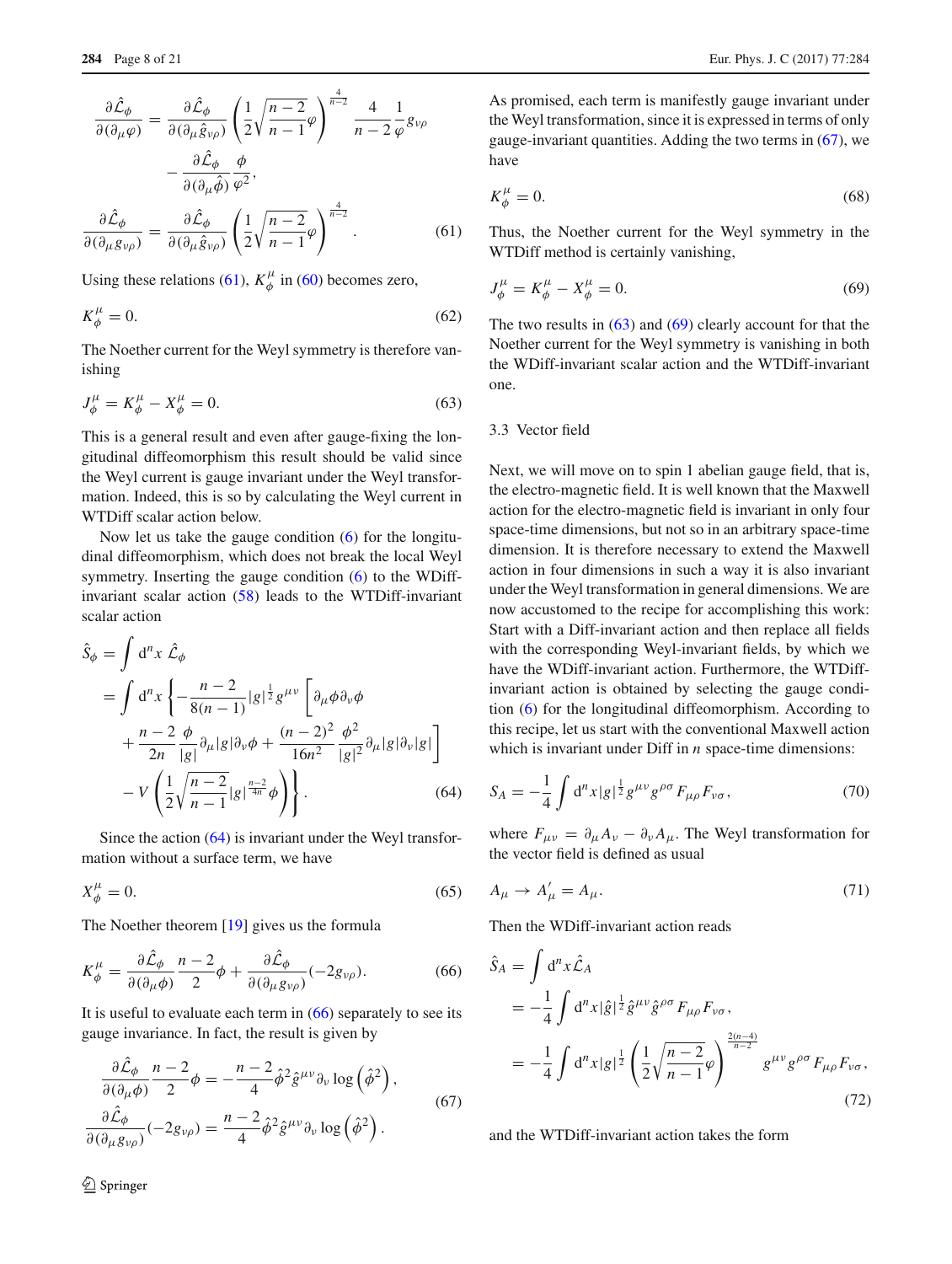$$
\frac{\partial \hat{\mathcal{L}}_{\phi}}{\partial(\partial_{\mu}\varphi)} = \frac{\partial \hat{\mathcal{L}}_{\phi}}{\partial(\partial_{\mu}\hat{g}_{\nu\rho})} \left(\frac{1}{2}\sqrt{\frac{n-2}{n-1}}\varphi\right)^{\frac{4}{n-2}} \frac{4}{n-2} \frac{1}{\varphi} g_{\nu\rho} \n- \frac{\partial \hat{\mathcal{L}}_{\phi}}{\partial(\partial_{\mu}\hat{\phi})} \frac{\phi}{\varphi^2},
$$
\n
$$
\frac{\partial \hat{\mathcal{L}}_{\phi}}{\partial(\partial_{\mu}g_{\nu\rho})} = \frac{\partial \hat{\mathcal{L}}_{\phi}}{\partial(\partial_{\mu}\hat{g}_{\nu\rho})} \left(\frac{1}{2}\sqrt{\frac{n-2}{n-1}}\varphi\right)^{\frac{4}{n-2}}.
$$
\n(61)

Using these relations [\(61\)](#page-6-3),  $K^{\mu}_{\phi}$  in [\(60\)](#page-6-4) becomes zero,

$$
K^{\mu}_{\phi} = 0. \tag{62}
$$

The Noether current for the Weyl symmetry is therefore vanishing

<span id="page-7-3"></span>
$$
J^{\mu}_{\phi} = K^{\mu}_{\phi} - X^{\mu}_{\phi} = 0.
$$
 (63)

This is a general result and even after gauge-fixing the longitudinal diffeomorphism this result should be valid since the Weyl current is gauge invariant under the Weyl transformation. Indeed, this is so by calculating the Weyl current in WTDiff scalar action below.

Now let us take the gauge condition  $(6)$  for the longitudinal diffeomorphism, which does not break the local Weyl symmetry. Inserting the gauge condition [\(6\)](#page-2-2) to the WDiffinvariant scalar action [\(58\)](#page-6-2) leads to the WTDiff-invariant scalar action

<span id="page-7-0"></span>
$$
\hat{S}_{\phi} = \int d^{n}x \hat{\mathcal{L}}_{\phi} \n= \int d^{n}x \left\{ -\frac{n-2}{8(n-1)} |g|^{\frac{1}{2}} g^{\mu\nu} \left[ \partial_{\mu}\phi \partial_{\nu}\phi \right. \n+ \frac{n-2}{2n} \frac{\phi}{|g|} \partial_{\mu} |g| \partial_{\nu}\phi + \frac{(n-2)^{2}}{16n^{2}} \frac{\phi^{2}}{|g|^{2}} \partial_{\mu} |g| \partial_{\nu} |g| \right] \n- V \left( \frac{1}{2} \sqrt{\frac{n-2}{n-1}} |g|^{\frac{n-2}{4n}} \phi \right) \right\}.
$$
\n(64)

Since the action [\(64\)](#page-7-0) is invariant under the Weyl transformation without a surface term, we have

$$
X_{\phi}^{\mu} = 0. \tag{65}
$$

The Noether theorem [\[19](#page-19-11)] gives us the formula

<span id="page-7-1"></span>
$$
K^{\mu}_{\phi} = \frac{\partial \hat{\mathcal{L}}_{\phi}}{\partial (\partial_{\mu} \phi)} \frac{n-2}{2} \phi + \frac{\partial \hat{\mathcal{L}}_{\phi}}{\partial (\partial_{\mu} g_{\nu \rho})} (-2g_{\nu \rho}). \tag{66}
$$

It is useful to evaluate each term in  $(66)$  separately to see its gauge invariance. In fact, the result is given by

<span id="page-7-2"></span>
$$
\frac{\partial \mathcal{L}_{\phi}}{\partial (\partial_{\mu}\phi)}\frac{n-2}{2}\phi = -\frac{n-2}{4}\hat{\phi}^{2}\hat{g}^{\mu\nu}\partial_{\nu}\log(\hat{\phi}^{2}),
$$

$$
\frac{\partial \mathcal{L}_{\phi}}{\partial (\partial_{\mu}g_{\nu\rho})}(-2g_{\nu\rho}) = \frac{n-2}{4}\hat{\phi}^{2}\hat{g}^{\mu\nu}\partial_{\nu}\log(\hat{\phi}^{2}).
$$
(67)

<sup>1</sup> Springer

As promised, each term is manifestly gauge invariant under the Weyl transformation, since it is expressed in terms of only gauge-invariant quantities. Adding the two terms in [\(67\)](#page-7-2), we have

$$
K^{\mu}_{\phi} = 0. \tag{68}
$$

Thus, the Noether current for the Weyl symmetry in the WTDiff method is certainly vanishing,

<span id="page-7-4"></span>
$$
J^{\mu}_{\phi} = K^{\mu}_{\phi} - X^{\mu}_{\phi} = 0.
$$
 (69)

The two results in  $(63)$  and  $(69)$  clearly account for that the Noether current for the Weyl symmetry is vanishing in both the WDiff-invariant scalar action and the WTDiff-invariant one.

## 3.3 Vector field

Next, we will move on to spin 1 abelian gauge field, that is, the electro-magnetic field. It is well known that the Maxwell action for the electro-magnetic field is invariant in only four space-time dimensions, but not so in an arbitrary space-time dimension. It is therefore necessary to extend the Maxwell action in four dimensions in such a way it is also invariant under the Weyl transformation in general dimensions. We are now accustomed to the recipe for accomplishing this work: Start with a Diff-invariant action and then replace all fields with the corresponding Weyl-invariant fields, by which we have the WDiff-invariant action. Furthermore, the WTDiffinvariant action is obtained by selecting the gauge condition [\(6\)](#page-2-2) for the longitudinal diffeomorphism. According to this recipe, let us start with the conventional Maxwell action which is invariant under Diff in *n* space-time dimensions:

$$
S_A = -\frac{1}{4} \int d^n x |g|^{\frac{1}{2}} g^{\mu \nu} g^{\rho \sigma} F_{\mu \rho} F_{\nu \sigma}, \tag{70}
$$

where  $F_{\mu\nu} = \partial_{\mu} A_{\nu} - \partial_{\nu} A_{\mu}$ . The Weyl transformation for the vector field is defined as usual

$$
A_{\mu} \to A'_{\mu} = A_{\mu}.
$$
\n<sup>(71)</sup>

Then the WDiff-invariant action reads

<span id="page-7-5"></span>
$$
\hat{S}_A = \int d^n x \hat{\mathcal{L}}_A
$$
\n
$$
= -\frac{1}{4} \int d^n x |\hat{g}|^{\frac{1}{2}} \hat{g}^{\mu\nu} \hat{g}^{\rho\sigma} F_{\mu\rho} F_{\nu\sigma},
$$
\n
$$
= -\frac{1}{4} \int d^n x |g|^{\frac{1}{2}} \left( \frac{1}{2} \sqrt{\frac{n-2}{n-1}} \varphi \right)^{\frac{2(n-4)}{n-2}} g^{\mu\nu} g^{\rho\sigma} F_{\mu\rho} F_{\nu\sigma},
$$
\n(72)

and the WTDiff-invariant action takes the form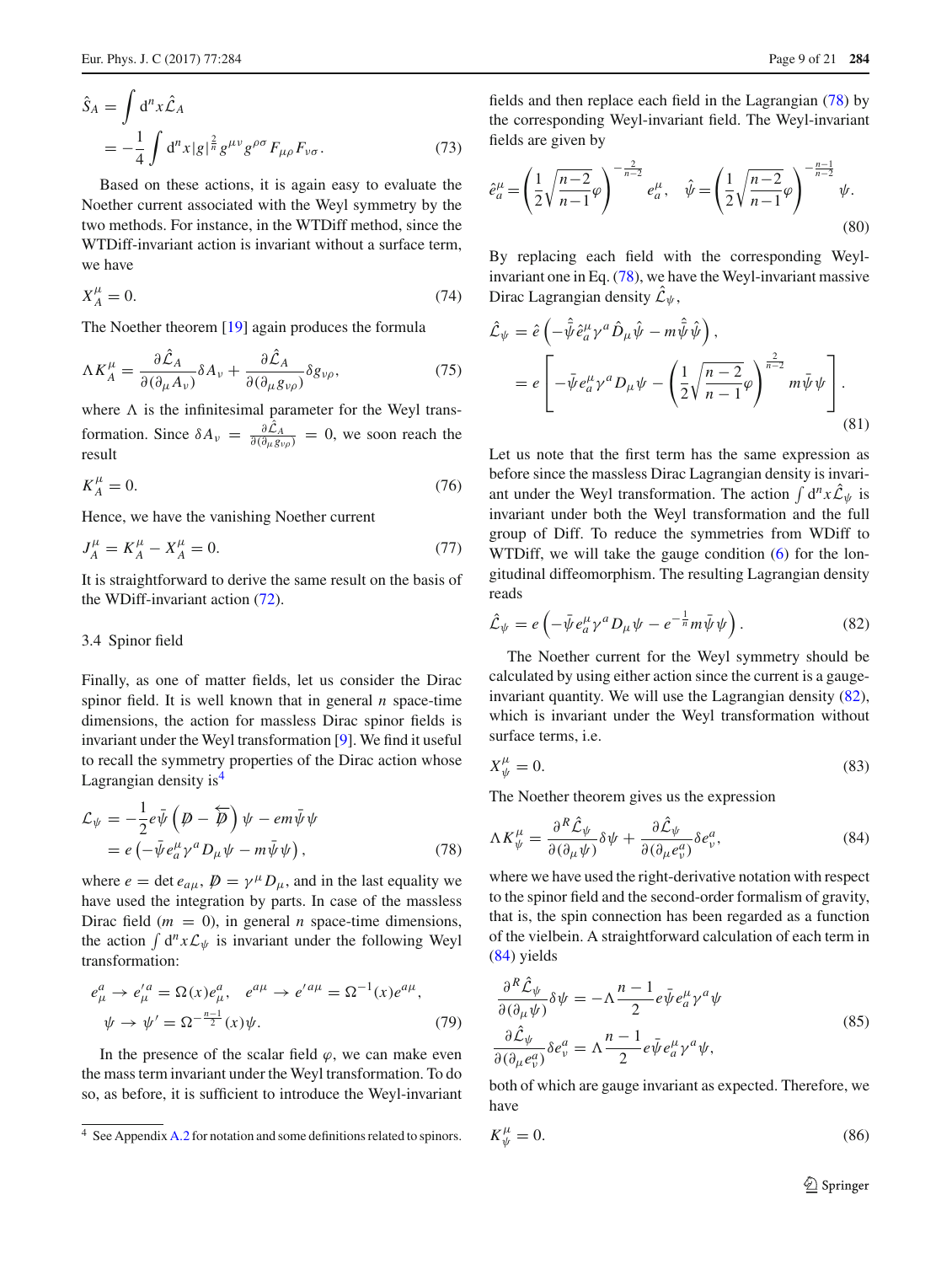<span id="page-8-4"></span>
$$
\hat{S}_A = \int d^n x \hat{\mathcal{L}}_A
$$
  
=  $-\frac{1}{4} \int d^n x |g|^{\frac{2}{n}} g^{\mu\nu} g^{\rho\sigma} F_{\mu\rho} F_{\nu\sigma}.$  (73)

Based on these actions, it is again easy to evaluate the Noether current associated with the Weyl symmetry by the two methods. For instance, in the WTDiff method, since the WTDiff-invariant action is invariant without a surface term, we have

$$
X_A^{\mu} = 0. \tag{74}
$$

The Noether theorem [\[19](#page-19-11)] again produces the formula

$$
\Lambda K_A^{\mu} = \frac{\partial \hat{\mathcal{L}}_A}{\partial (\partial_{\mu} A_{\nu})} \delta A_{\nu} + \frac{\partial \hat{\mathcal{L}}_A}{\partial (\partial_{\mu} g_{\nu \rho})} \delta g_{\nu \rho},\tag{75}
$$

where  $\Lambda$  is the infinitesimal parameter for the Weyl transformation. Since  $\delta A_v = \frac{\partial \mathcal{L}_A}{\partial (\partial_\mu g_{\nu \rho})} = 0$ , we soon reach the result

$$
K_A^{\mu} = 0. \tag{76}
$$

Hence, we have the vanishing Noether current

$$
J_A^{\mu} = K_A^{\mu} - X_A^{\mu} = 0. \tag{77}
$$

It is straightforward to derive the same result on the basis of the WDiff-invariant action [\(72\)](#page-7-5).

#### 3.4 Spinor field

Finally, as one of matter fields, let us consider the Dirac spinor field. It is well known that in general *n* space-time dimensions, the action for massless Dirac spinor fields is invariant under the Weyl transformation [\[9\]](#page-19-8). We find it useful to recall the symmetry properties of the Dirac action whose Lagrangian density is<sup>4</sup>

<span id="page-8-1"></span>
$$
\mathcal{L}_{\psi} = -\frac{1}{2} e \bar{\psi} \left( \not{D} - \overleftarrow{D} \right) \psi - e m \bar{\psi} \psi \n= e \left( - \bar{\psi} e^{\mu}_{a} \gamma^{a} D_{\mu} \psi - m \bar{\psi} \psi \right),
$$
\n(78)

where  $e = \det e_{a\mu}, \not\!\! D = \gamma^{\mu} D_{\mu}$ , and in the last equality we have used the integration by parts. In case of the massless Dirac field  $(m = 0)$ , in general *n* space-time dimensions, the action  $\int d^n x \mathcal{L}_{\psi}$  is invariant under the following Weyl transformation:

$$
e_{\mu}^{a} \rightarrow e_{\mu}'^{a} = \Omega(x)e_{\mu}^{a}, \quad e^{a\mu} \rightarrow e'^{a\mu} = \Omega^{-1}(x)e^{a\mu},
$$
  

$$
\psi \rightarrow \psi' = \Omega^{-\frac{n-1}{2}}(x)\psi.
$$
 (79)

In the presence of the scalar field  $\varphi$ , we can make even the mass term invariant under the Weyl transformation. To do so, as before, it is sufficient to introduce the Weyl-invariant

fields and then replace each field in the Lagrangian [\(78\)](#page-8-1) by the corresponding Weyl-invariant field. The Weyl-invariant fields are given by

$$
\hat{e}_a^{\mu} = \left(\frac{1}{2}\sqrt{\frac{n-2}{n-1}}\varphi\right)^{-\frac{2}{n-2}} e_a^{\mu}, \quad \hat{\psi} = \left(\frac{1}{2}\sqrt{\frac{n-2}{n-1}}\varphi\right)^{-\frac{n-1}{n-2}} \psi.
$$
\n(80)

By replacing each field with the corresponding Weylinvariant one in Eq. [\(78\)](#page-8-1), we have the Weyl-invariant massive Dirac Lagrangian density  $\mathcal{L}_{\psi}$ ,

$$
\hat{\mathcal{L}}_{\psi} = \hat{e} \left( -\hat{\bar{\psi}} \hat{e}_{a}^{\mu} \gamma^{a} \hat{D}_{\mu} \hat{\psi} - m \hat{\bar{\psi}} \hat{\psi} \right),
$$
  
\n
$$
= e \left[ -\bar{\psi} e_{a}^{\mu} \gamma^{a} D_{\mu} \psi - \left( \frac{1}{2} \sqrt{\frac{n-2}{n-1}} \varphi \right)^{\frac{2}{n-2}} m \bar{\psi} \psi \right].
$$
\n(81)

Let us note that the first term has the same expression as before since the massless Dirac Lagrangian density is invariant under the Weyl transformation. The action  $\int d^n x \hat{\mathcal{L}}_{\psi}$  is invariant under both the Weyl transformation and the full group of Diff. To reduce the symmetries from WDiff to WTDiff, we will take the gauge condition [\(6\)](#page-2-2) for the longitudinal diffeomorphism. The resulting Lagrangian density reads

<span id="page-8-2"></span>
$$
\hat{\mathcal{L}}_{\psi} = e \left( - \bar{\psi} e_a^{\mu} \gamma^a D_{\mu} \psi - e^{-\frac{1}{n}} m \bar{\psi} \psi \right). \tag{82}
$$

The Noether current for the Weyl symmetry should be calculated by using either action since the current is a gaugeinvariant quantity. We will use the Lagrangian density [\(82\)](#page-8-2), which is invariant under the Weyl transformation without surface terms, i.e.

$$
X^{\mu}_{\psi} = 0. \tag{83}
$$

The Noether theorem gives us the expression

<span id="page-8-3"></span>
$$
\Lambda K^{\mu}_{\psi} = \frac{\partial^R \hat{\mathcal{L}}_{\psi}}{\partial (\partial_{\mu} \psi)} \delta \psi + \frac{\partial \hat{\mathcal{L}}_{\psi}}{\partial (\partial_{\mu} e^a_{\nu})} \delta e^a_{\nu},\tag{84}
$$

where we have used the right-derivative notation with respect to the spinor field and the second-order formalism of gravity, that is, the spin connection has been regarded as a function of the vielbein. A straightforward calculation of each term in [\(84\)](#page-8-3) yields

$$
\frac{\partial^R \hat{\mathcal{L}}_{\psi}}{\partial (\partial_{\mu} \psi)} \delta \psi = -\Lambda \frac{n-1}{2} e \bar{\psi} e_a^{\mu} \gamma^a \psi
$$
  

$$
\frac{\partial \hat{\mathcal{L}}_{\psi}}{\partial (\partial_{\mu} e_v^a)} \delta e_v^a = \Lambda \frac{n-1}{2} e \bar{\psi} e_a^{\mu} \gamma^a \psi,
$$
 (85)

both of which are gauge invariant as expected. Therefore, we have

$$
K^{\mu}_{\psi} = 0. \tag{86}
$$

<span id="page-8-0"></span><sup>&</sup>lt;sup>4</sup> See Appendix [A.2](#page-16-3) for notation and some definitions related to spinors.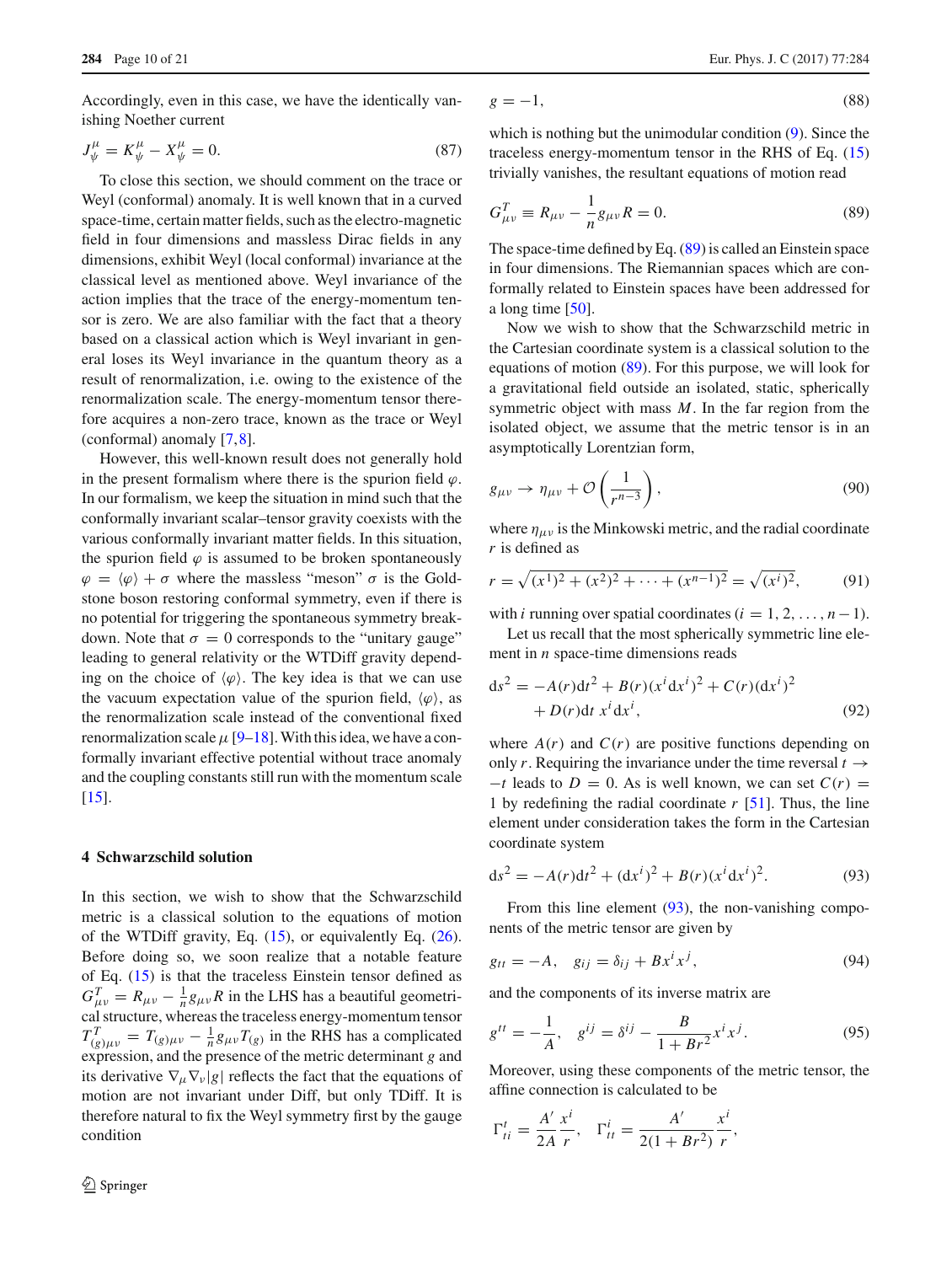Accordingly, even in this case, we have the identically vanishing Noether current

$$
J^{\mu}_{\psi} = K^{\mu}_{\psi} - X^{\mu}_{\psi} = 0. \tag{87}
$$

To close this section, we should comment on the trace or Weyl (conformal) anomaly. It is well known that in a curved space-time, certain matter fields, such as the electro-magnetic field in four dimensions and massless Dirac fields in any dimensions, exhibit Weyl (local conformal) invariance at the classical level as mentioned above. Weyl invariance of the action implies that the trace of the energy-momentum tensor is zero. We are also familiar with the fact that a theory based on a classical action which is Weyl invariant in general loses its Weyl invariance in the quantum theory as a result of renormalization, i.e. owing to the existence of the renormalization scale. The energy-momentum tensor therefore acquires a non-zero trace, known as the trace or Weyl (conformal) anomaly [\[7](#page-19-6)[,8](#page-19-7)].

However, this well-known result does not generally hold in the present formalism where there is the spurion field  $\varphi$ . In our formalism, we keep the situation in mind such that the conformally invariant scalar–tensor gravity coexists with the various conformally invariant matter fields. In this situation, the spurion field  $\varphi$  is assumed to be broken spontaneously  $\varphi = \langle \varphi \rangle + \sigma$  where the massless "meson"  $\sigma$  is the Goldstone boson restoring conformal symmetry, even if there is no potential for triggering the spontaneous symmetry breakdown. Note that  $\sigma = 0$  corresponds to the "unitary gauge" leading to general relativity or the WTDiff gravity depending on the choice of  $\langle \varphi \rangle$ . The key idea is that we can use the vacuum expectation value of the spurion field,  $\langle \varphi \rangle$ , as the renormalization scale instead of the conventional fixed renormalization scale  $\mu$  [\[9](#page-19-8)[–18](#page-19-10)]. With this idea, we have a conformally invariant effective potential without trace anomaly and the coupling constants still run with the momentum scale [\[15](#page-19-17)].

## <span id="page-9-0"></span>**4 Schwarzschild solution**

In this section, we wish to show that the Schwarzschild metric is a classical solution to the equations of motion of the WTDiff gravity, Eq.  $(15)$ , or equivalently Eq.  $(26)$ . Before doing so, we soon realize that a notable feature of Eq. [\(15\)](#page-2-7) is that the traceless Einstein tensor defined as  $G_{\mu\nu}^T = R_{\mu\nu} - \frac{1}{n}g_{\mu\nu}R$  in the LHS has a beautiful geometrical structure, whereas the traceless energy-momentum tensor  $T_{(g)\mu\nu}^T = T_{(g)\mu\nu} - \frac{1}{n}g_{\mu\nu}T_{(g)}$  in the RHS has a complicated expression, and the presence of the metric determinant *g* and its derivative  $\nabla_{\mu} \nabla_{\nu} |g|$  reflects the fact that the equations of motion are not invariant under Diff, but only TDiff. It is therefore natural to fix the Weyl symmetry first by the gauge condition

<span id="page-9-3"></span>
$$
g = -1,\tag{88}
$$

which is nothing but the unimodular condition [\(9\)](#page-2-3). Since the traceless energy-momentum tensor in the RHS of Eq. [\(15\)](#page-2-7) trivially vanishes, the resultant equations of motion read

<span id="page-9-1"></span>
$$
G_{\mu\nu}^T \equiv R_{\mu\nu} - \frac{1}{n} g_{\mu\nu} R = 0.
$$
 (89)

The space-time defined by Eq. [\(89\)](#page-9-1) is called an Einstein space in four dimensions. The Riemannian spaces which are conformally related to Einstein spaces have been addressed for a long time [\[50\]](#page-20-4).

Now we wish to show that the Schwarzschild metric in the Cartesian coordinate system is a classical solution to the equations of motion [\(89\)](#page-9-1). For this purpose, we will look for a gravitational field outside an isolated, static, spherically symmetric object with mass *M*. In the far region from the isolated object, we assume that the metric tensor is in an asymptotically Lorentzian form,

<span id="page-9-6"></span>
$$
g_{\mu\nu} \to \eta_{\mu\nu} + \mathcal{O}\left(\frac{1}{r^{n-3}}\right),\tag{90}
$$

where  $\eta_{\mu\nu}$  is the Minkowski metric, and the radial coordinate *r* is defined as

$$
r = \sqrt{(x^1)^2 + (x^2)^2 + \dots + (x^{n-1})^2} = \sqrt{(x^i)^2},
$$
(91)

with *i* running over spatial coordinates  $(i = 1, 2, \ldots, n-1)$ .

Let us recall that the most spherically symmetric line element in *n* space-time dimensions reads

$$
ds^{2} = -A(r)dt^{2} + B(r)(x^{i}dx^{i})^{2} + C(r)(dx^{i})^{2}
$$
  
+  $D(r)dt x^{i}dx^{i}$ , (92)

where  $A(r)$  and  $C(r)$  are positive functions depending on only *r*. Requiring the invariance under the time reversal  $t \rightarrow$  $-t$  leads to  $D = 0$ . As is well known, we can set  $C(r) =$ 1 by redefining the radial coordinate *r* [\[51](#page-20-5)]. Thus, the line element under consideration takes the form in the Cartesian coordinate system

<span id="page-9-2"></span>
$$
ds^{2} = -A(r)dt^{2} + (dx^{i})^{2} + B(r)(x^{i}dx^{i})^{2}.
$$
 (93)

From this line element [\(93\)](#page-9-2), the non-vanishing components of the metric tensor are given by

<span id="page-9-4"></span>
$$
g_{tt} = -A, \quad g_{ij} = \delta_{ij} + Bx^ix^j,\tag{94}
$$

and the components of its inverse matrix are

$$
g^{tt} = -\frac{1}{A}, \quad g^{ij} = \delta^{ij} - \frac{B}{1 + Br^2} x^i x^j. \tag{95}
$$

Moreover, using these components of the metric tensor, the affine connection is calculated to be

<span id="page-9-5"></span>
$$
\Gamma_{ti}^t = \frac{A'}{2A} \frac{x^i}{r}, \quad \Gamma_{tt}^i = \frac{A'}{2(1 + Br^2)} \frac{x^i}{r},
$$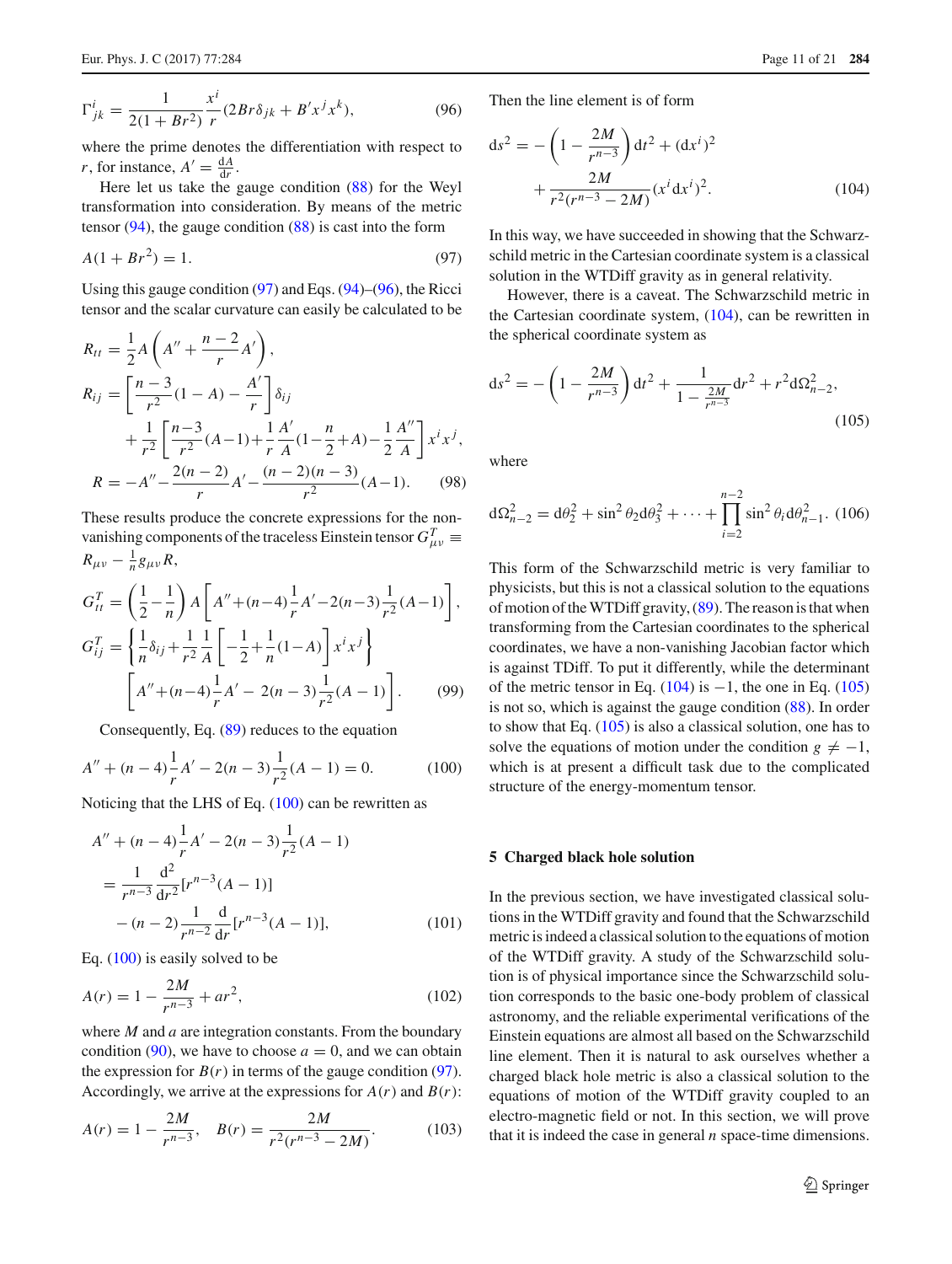$$
\Gamma_{jk}^{i} = \frac{1}{2(1 + Br^2)} \frac{x^{i}}{r} (2Br\delta_{jk} + B'x^{j}x^{k}),
$$
\n(96)

where the prime denotes the differentiation with respect to *r*, for instance,  $A' = \frac{dA}{dr}$ .

Here let us take the gauge condition [\(88\)](#page-9-3) for the Weyl transformation into consideration. By means of the metric tensor  $(94)$ , the gauge condition  $(88)$  is cast into the form

<span id="page-10-1"></span>
$$
A(1 + Br^2) = 1.
$$
 (97)

Using this gauge condition [\(97\)](#page-10-1) and Eqs. [\(94\)](#page-9-4)–[\(96\)](#page-9-5), the Ricci tensor and the scalar curvature can easily be calculated to be

$$
R_{tt} = \frac{1}{2} A \left( A'' + \frac{n-2}{r} A' \right),
$$
  
\n
$$
R_{ij} = \left[ \frac{n-3}{r^2} (1-A) - \frac{A'}{r} \right] \delta_{ij}
$$
  
\n
$$
+ \frac{1}{r^2} \left[ \frac{n-3}{r^2} (A-1) + \frac{1}{r} \frac{A'}{A} (1 - \frac{n}{2} + A) - \frac{1}{2} \frac{A''}{A} \right] x^i x^j,
$$
  
\n
$$
R = -A'' - \frac{2(n-2)}{r} A' - \frac{(n-2)(n-3)}{r^2} (A-1).
$$
 (98)

These results produce the concrete expressions for the nonvanishing components of the traceless Einstein tensor  $G_{\mu\nu}^T$  $R_{\mu\nu} - \frac{1}{n} g_{\mu\nu} R$ ,

<span id="page-10-5"></span>
$$
G_{tt}^{T} = \left(\frac{1}{2} - \frac{1}{n}\right) A \left[A'' + (n-4)\frac{1}{r}A' - 2(n-3)\frac{1}{r^2}(A-1)\right],
$$
  
\n
$$
G_{ij}^{T} = \left\{\frac{1}{n}\delta_{ij} + \frac{1}{r^2}\frac{1}{A} \left[-\frac{1}{2} + \frac{1}{n}(1-A)\right]x^i x^j\right\}
$$
  
\n
$$
\left[A'' + (n-4)\frac{1}{r}A' - 2(n-3)\frac{1}{r^2}(A-1)\right].
$$
 (99)

Consequently, Eq. [\(89\)](#page-9-1) reduces to the equation

<span id="page-10-2"></span>
$$
A'' + (n - 4)\frac{1}{r}A' - 2(n - 3)\frac{1}{r^2}(A - 1) = 0.
$$
 (100)

Noticing that the LHS of Eq. [\(100\)](#page-10-2) can be rewritten as

$$
A'' + (n - 4)\frac{1}{r}A' - 2(n - 3)\frac{1}{r^2}(A - 1)
$$
  
= 
$$
\frac{1}{r^{n-3}}\frac{d^2}{dr^2}[r^{n-3}(A - 1)]
$$
  
- 
$$
(n - 2)\frac{1}{r^{n-2}}\frac{d}{dr}[r^{n-3}(A - 1)],
$$
 (101)

Eq. [\(100\)](#page-10-2) is easily solved to be

$$
A(r) = 1 - \frac{2M}{r^{n-3}} + ar^2,
$$
\n(102)

where *M* and *a* are integration constants. From the boundary condition [\(90\)](#page-9-6), we have to choose  $a = 0$ , and we can obtain the expression for  $B(r)$  in terms of the gauge condition [\(97\)](#page-10-1). Accordingly, we arrive at the expressions for  $A(r)$  and  $B(r)$ :

$$
A(r) = 1 - \frac{2M}{r^{n-3}}, \quad B(r) = \frac{2M}{r^2(r^{n-3} - 2M)}.
$$
 (103)

Then the line element is of form

<span id="page-10-3"></span>
$$
ds^{2} = -\left(1 - \frac{2M}{r^{n-3}}\right)dt^{2} + (dx^{i})^{2} + \frac{2M}{r^{2}(r^{n-3} - 2M)}(x^{i}dx^{i})^{2}.
$$
 (104)

In this way, we have succeeded in showing that the Schwarzschild metric in the Cartesian coordinate system is a classical solution in the WTDiff gravity as in general relativity.

However, there is a caveat. The Schwarzschild metric in the Cartesian coordinate system, [\(104\)](#page-10-3), can be rewritten in the spherical coordinate system as

<span id="page-10-4"></span>
$$
ds^{2} = -\left(1 - \frac{2M}{r^{n-3}}\right)dt^{2} + \frac{1}{1 - \frac{2M}{r^{n-3}}}dr^{2} + r^{2}d\Omega_{n-2}^{2},
$$
\n(105)

where

$$
d\Omega_{n-2}^2 = d\theta_2^2 + \sin^2 \theta_2 d\theta_3^2 + \dots + \prod_{i=2}^{n-2} \sin^2 \theta_i d\theta_{n-1}^2. (106)
$$

This form of the Schwarzschild metric is very familiar to physicists, but this is not a classical solution to the equations of motion of the WTDiff gravity, [\(89\)](#page-9-1). The reason is that when transforming from the Cartesian coordinates to the spherical coordinates, we have a non-vanishing Jacobian factor which is against TDiff. To put it differently, while the determinant of the metric tensor in Eq.  $(104)$  is  $-1$ , the one in Eq.  $(105)$ is not so, which is against the gauge condition [\(88\)](#page-9-3). In order to show that Eq. [\(105\)](#page-10-4) is also a classical solution, one has to solve the equations of motion under the condition  $g \neq -1$ , which is at present a difficult task due to the complicated structure of the energy-momentum tensor.

#### <span id="page-10-0"></span>**5 Charged black hole solution**

In the previous section, we have investigated classical solutions in the WTDiff gravity and found that the Schwarzschild metric is indeed a classical solution to the equations of motion of the WTDiff gravity. A study of the Schwarzschild solution is of physical importance since the Schwarzschild solution corresponds to the basic one-body problem of classical astronomy, and the reliable experimental verifications of the Einstein equations are almost all based on the Schwarzschild line element. Then it is natural to ask ourselves whether a charged black hole metric is also a classical solution to the equations of motion of the WTDiff gravity coupled to an electro-magnetic field or not. In this section, we will prove that it is indeed the case in general *n* space-time dimensions.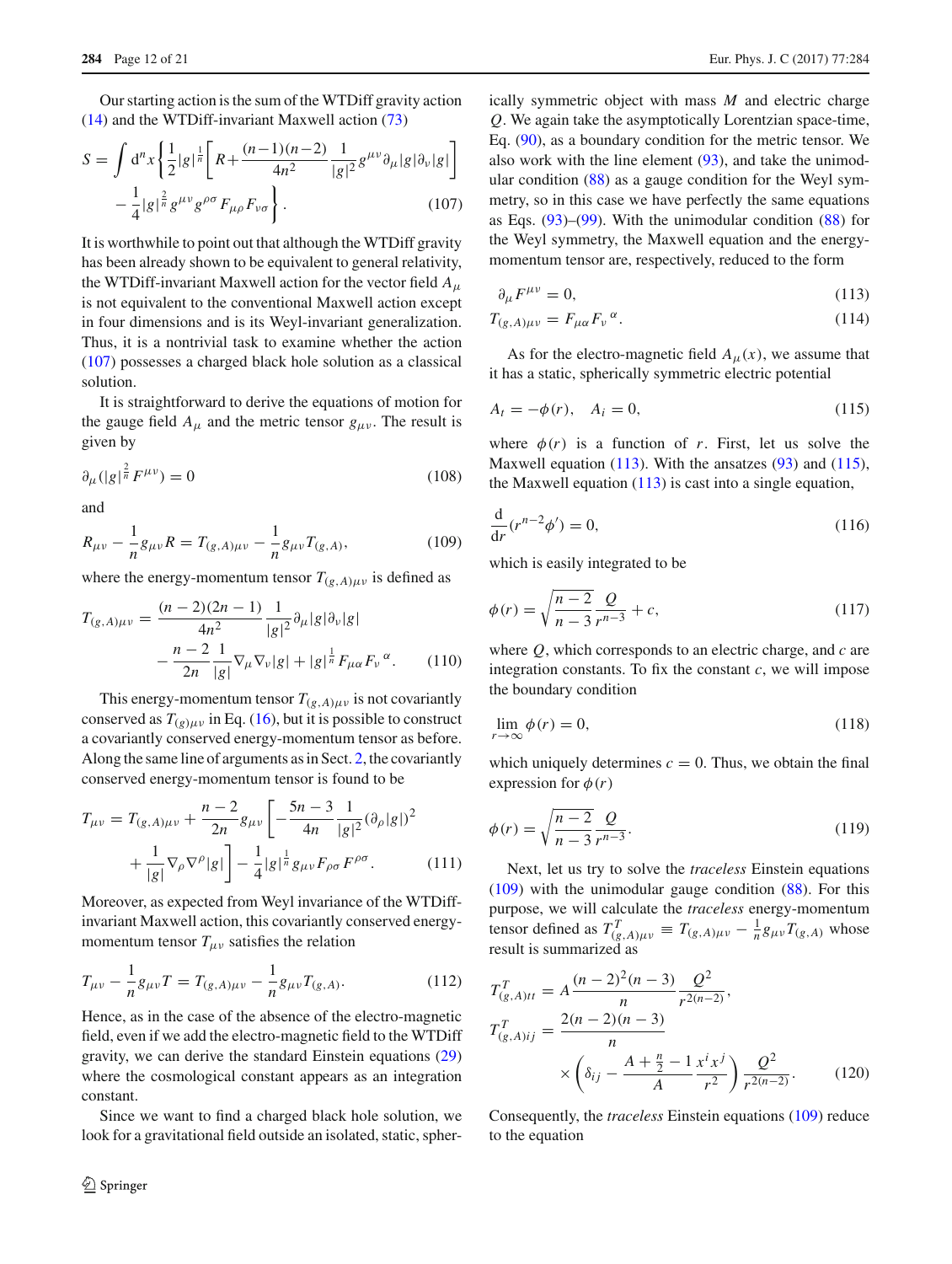Our starting action is the sum of the WTDiff gravity action [\(14\)](#page-2-8) and the WTDiff-invariant Maxwell action [\(73\)](#page-8-4)

<span id="page-11-0"></span>
$$
S = \int d^{n}x \left\{ \frac{1}{2} |g|^{\frac{1}{n}} \left[ R + \frac{(n-1)(n-2)}{4n^{2}} \frac{1}{|g|^{2}} g^{\mu\nu} \partial_{\mu} |g| \partial_{\nu} |g| \right] - \frac{1}{4} |g|^{\frac{2}{n}} g^{\mu\nu} g^{\rho\sigma} F_{\mu\rho} F_{\nu\sigma} \right\}.
$$
 (107)

It is worthwhile to point out that although the WTDiff gravity has been already shown to be equivalent to general relativity, the WTDiff-invariant Maxwell action for the vector field *A*<sup>μ</sup> is not equivalent to the conventional Maxwell action except in four dimensions and is its Weyl-invariant generalization. Thus, it is a nontrivial task to examine whether the action [\(107\)](#page-11-0) possesses a charged black hole solution as a classical solution.

It is straightforward to derive the equations of motion for the gauge field  $A_{\mu}$  and the metric tensor  $g_{\mu\nu}$ . The result is given by

$$
\partial_{\mu}(|g|^{\frac{2}{n}}F^{\mu\nu}) = 0\tag{108}
$$

and

<span id="page-11-3"></span>
$$
R_{\mu\nu} - \frac{1}{n} g_{\mu\nu} R = T_{(g,A)\mu\nu} - \frac{1}{n} g_{\mu\nu} T_{(g,A)},
$$
(109)

where the energy-momentum tensor  $T_{(g,A)\mu\nu}$  is defined as

$$
T_{(g,A)\mu\nu} = \frac{(n-2)(2n-1)}{4n^2} \frac{1}{|g|^2} \partial_\mu |g| \partial_\nu |g|
$$

$$
- \frac{n-2}{2n} \frac{1}{|g|} \nabla_\mu \nabla_\nu |g| + |g|^{\frac{1}{n}} F_{\mu\alpha} F_\nu^{\alpha}.
$$
(110)

This energy-momentum tensor  $T_{(g,A)\mu\nu}$  is not covariantly conserved as  $T_{(g)\mu\nu}$  in Eq. [\(16\)](#page-2-9), but it is possible to construct a covariantly conserved energy-momentum tensor as before. Along the same line of arguments as in Sect. [2,](#page-1-0) the covariantly conserved energy-momentum tensor is found to be

$$
T_{\mu\nu} = T_{(g,A)\mu\nu} + \frac{n-2}{2n} g_{\mu\nu} \left[ -\frac{5n-3}{4n} \frac{1}{|g|^2} (\partial_{\rho} |g|)^2 + \frac{1}{|g|} \nabla_{\rho} \nabla^{\rho} |g| \right] - \frac{1}{4} |g|^{\frac{1}{n}} g_{\mu\nu} F_{\rho\sigma} F^{\rho\sigma}.
$$
 (111)

Moreover, as expected from Weyl invariance of the WTDiffinvariant Maxwell action, this covariantly conserved energymomentum tensor  $T_{\mu\nu}$  satisfies the relation

$$
T_{\mu\nu} - \frac{1}{n} g_{\mu\nu} T = T_{(g,A)\mu\nu} - \frac{1}{n} g_{\mu\nu} T_{(g,A)}.
$$
 (112)

Hence, as in the case of the absence of the electro-magnetic field, even if we add the electro-magnetic field to the WTDiff gravity, we can derive the standard Einstein equations [\(29\)](#page-3-8) where the cosmological constant appears as an integration constant.

Since we want to find a charged black hole solution, we look for a gravitational field outside an isolated, static, spherically symmetric object with mass *M* and electric charge *Q*. We again take the asymptotically Lorentzian space-time, Eq. [\(90\)](#page-9-6), as a boundary condition for the metric tensor. We also work with the line element  $(93)$ , and take the unimodular condition [\(88\)](#page-9-3) as a gauge condition for the Weyl symmetry, so in this case we have perfectly the same equations as Eqs.  $(93)$ – $(99)$ . With the unimodular condition  $(88)$  for the Weyl symmetry, the Maxwell equation and the energymomentum tensor are, respectively, reduced to the form

<span id="page-11-1"></span>
$$
\partial_{\mu}F^{\mu\nu} = 0,\tag{113}
$$

$$
T_{(g,A)\mu\nu} = F_{\mu\alpha} F_{\nu}{}^{\alpha}.
$$
 (114)

As for the electro-magnetic field  $A_{\mu}(x)$ , we assume that it has a static, spherically symmetric electric potential

<span id="page-11-2"></span>
$$
A_t = -\phi(r), \quad A_i = 0,\tag{115}
$$

where  $\phi(r)$  is a function of *r*. First, let us solve the Maxwell equation  $(113)$ . With the ansatzes  $(93)$  and  $(115)$ , the Maxwell equation  $(113)$  is cast into a single equation,

$$
\frac{\mathrm{d}}{\mathrm{d}r}(r^{n-2}\phi') = 0,\tag{116}
$$

which is easily integrated to be

$$
\phi(r) = \sqrt{\frac{n-2}{n-3}} \frac{Q}{r^{n-3}} + c,\tag{117}
$$

where *Q*, which corresponds to an electric charge, and *c* are integration constants. To fix the constant  $c$ , we will impose the boundary condition

$$
\lim_{r \to \infty} \phi(r) = 0,\tag{118}
$$

which uniquely determines  $c = 0$ . Thus, we obtain the final expression for  $\phi(r)$ 

$$
\phi(r) = \sqrt{\frac{n-2}{n-3}} \frac{Q}{r^{n-3}}.
$$
\n(119)

Next, let us try to solve the *traceless* Einstein equations [\(109\)](#page-11-3) with the unimodular gauge condition [\(88\)](#page-9-3). For this purpose, we will calculate the *traceless* energy-momentum tensor defined as  $T_{(g,A)\mu\nu}^T \equiv T_{(g,A)\mu\nu} - \frac{1}{n}g_{\mu\nu}T_{(g,A)}$  whose result is summarized as

$$
T_{(g,A)ti}^T = A \frac{(n-2)^2 (n-3)}{n} \frac{Q^2}{r^{2(n-2)}},
$$
  
\n
$$
T_{(g,A)ij}^T = \frac{2(n-2)(n-3)}{n}
$$
  
\n
$$
\times \left(\delta_{ij} - \frac{A + \frac{n}{2} - 1}{A} \frac{x^i x^j}{r^2}\right) \frac{Q^2}{r^{2(n-2)}}.
$$
 (120)

Consequently, the *traceless* Einstein equations [\(109\)](#page-11-3) reduce to the equation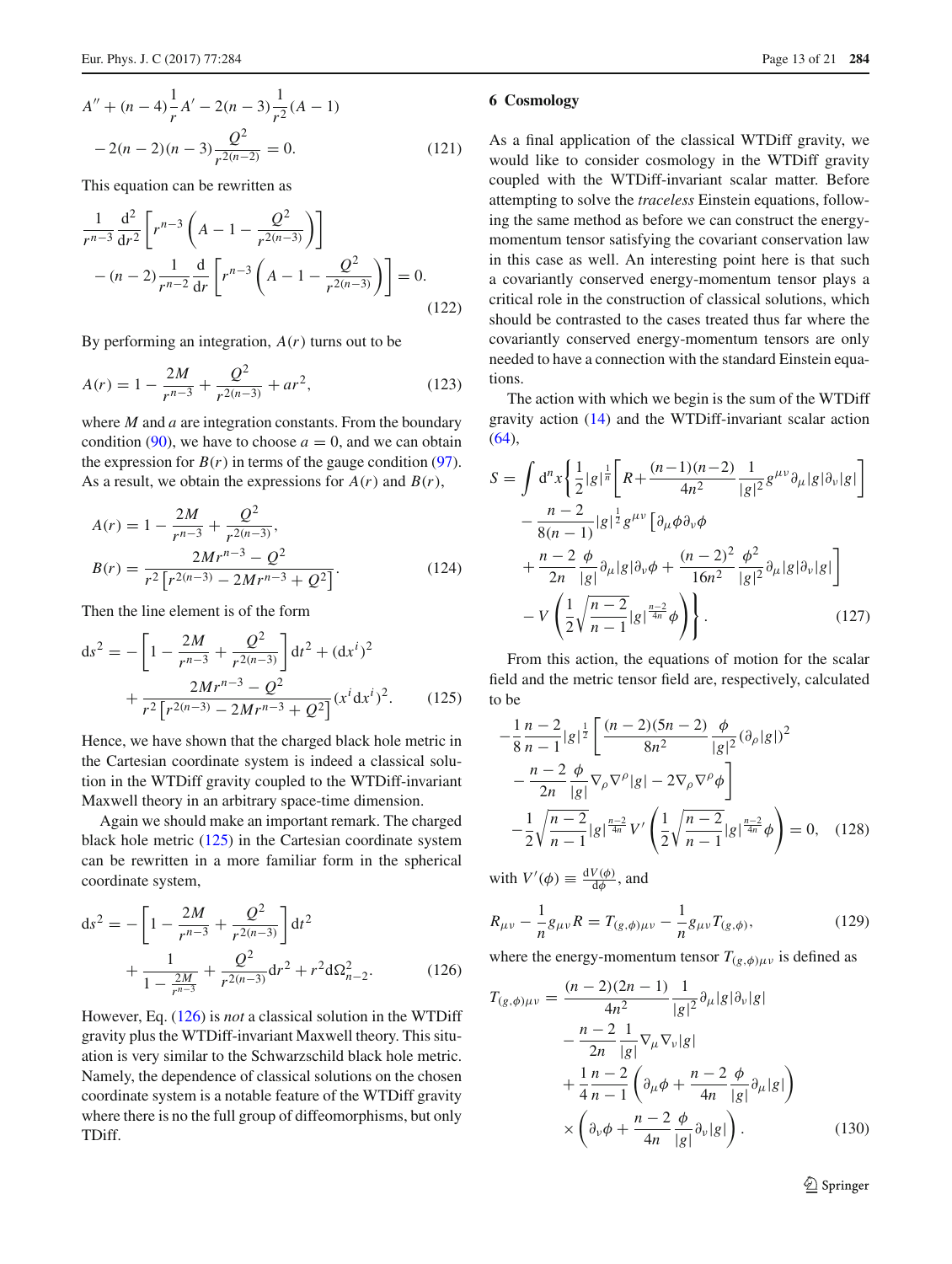$$
A'' + (n - 4)\frac{1}{r}A' - 2(n - 3)\frac{1}{r^2}(A - 1)
$$
  
- 2(n - 2)(n - 3)\frac{Q^2}{r^{2(n-2)}} = 0. (121)

This equation can be rewritten as

$$
\frac{1}{r^{n-3}}\frac{d^2}{dr^2}\left[r^{n-3}\left(A-1-\frac{Q^2}{r^{2(n-3)}}\right)\right]
$$

$$
-(n-2)\frac{1}{r^{n-2}}\frac{d}{dr}\left[r^{n-3}\left(A-1-\frac{Q^2}{r^{2(n-3)}}\right)\right]=0.
$$
(122)

By performing an integration,  $A(r)$  turns out to be

$$
A(r) = 1 - \frac{2M}{r^{n-3}} + \frac{Q^2}{r^{2(n-3)}} + ar^2,
$$
 (123)

where *M* and *a* are integration constants. From the boundary condition [\(90\)](#page-9-6), we have to choose  $a = 0$ , and we can obtain the expression for  $B(r)$  in terms of the gauge condition [\(97\)](#page-10-1). As a result, we obtain the expressions for  $A(r)$  and  $B(r)$ ,

$$
A(r) = 1 - \frac{2M}{r^{n-3}} + \frac{Q^2}{r^{2(n-3)}},
$$
  
\n
$$
B(r) = \frac{2Mr^{n-3} - Q^2}{r^2[r^{2(n-3)} - 2Mr^{n-3} + Q^2]}.
$$
\n(124)

Then the line element is of the form

<span id="page-12-1"></span>
$$
ds^{2} = -\left[1 - \frac{2M}{r^{n-3}} + \frac{Q^{2}}{r^{2(n-3)}}\right]dt^{2} + (dx^{i})^{2} + \frac{2Mr^{n-3} - Q^{2}}{r^{2}\left[r^{2(n-3)} - 2Mr^{n-3} + Q^{2}\right]}(x^{i}dx^{i})^{2}.
$$
 (125)

Hence, we have shown that the charged black hole metric in the Cartesian coordinate system is indeed a classical solution in the WTDiff gravity coupled to the WTDiff-invariant Maxwell theory in an arbitrary space-time dimension.

Again we should make an important remark. The charged black hole metric [\(125\)](#page-12-1) in the Cartesian coordinate system can be rewritten in a more familiar form in the spherical coordinate system,

<span id="page-12-2"></span>
$$
ds^{2} = -\left[1 - \frac{2M}{r^{n-3}} + \frac{Q^{2}}{r^{2(n-3)}}\right]dt^{2} + \frac{1}{1 - \frac{2M}{r^{n-3}}} + \frac{Q^{2}}{r^{2(n-3)}}dr^{2} + r^{2}d\Omega_{n-2}^{2}.
$$
 (126)

However, Eq. [\(126\)](#page-12-2) is *not* a classical solution in the WTDiff gravity plus the WTDiff-invariant Maxwell theory. This situation is very similar to the Schwarzschild black hole metric. Namely, the dependence of classical solutions on the chosen coordinate system is a notable feature of the WTDiff gravity where there is no the full group of diffeomorphisms, but only TDiff.

#### <span id="page-12-0"></span>**6 Cosmology**

As a final application of the classical WTDiff gravity, we would like to consider cosmology in the WTDiff gravity coupled with the WTDiff-invariant scalar matter. Before attempting to solve the *traceless* Einstein equations, following the same method as before we can construct the energymomentum tensor satisfying the covariant conservation law in this case as well. An interesting point here is that such a covariantly conserved energy-momentum tensor plays a critical role in the construction of classical solutions, which should be contrasted to the cases treated thus far where the covariantly conserved energy-momentum tensors are only needed to have a connection with the standard Einstein equations.

The action with which we begin is the sum of the WTDiff gravity action [\(14\)](#page-2-8) and the WTDiff-invariant scalar action  $(64)$ ,

$$
S = \int d^{n}x \left\{ \frac{1}{2} |g|^{\frac{1}{n}} \left[ R + \frac{(n-1)(n-2)}{4n^{2}} \frac{1}{|g|^{2}} g^{\mu\nu} \partial_{\mu} |g| \partial_{\nu} |g| \right] - \frac{n-2}{8(n-1)} |g|^{\frac{1}{2}} g^{\mu\nu} \left[ \partial_{\mu} \phi \partial_{\nu} \phi \right] + \frac{n-2}{2n} \frac{\phi}{|g|} \partial_{\mu} |g| \partial_{\nu} \phi + \frac{(n-2)^{2}}{16n^{2}} \frac{\phi^{2}}{|g|^{2}} \partial_{\mu} |g| \partial_{\nu} |g| \right] - V \left( \frac{1}{2} \sqrt{\frac{n-2}{n-1}} |g|^{\frac{n-2}{4n}} \phi \right) \right\}.
$$
 (127)

From this action, the equations of motion for the scalar field and the metric tensor field are, respectively, calculated to be

<span id="page-12-4"></span>
$$
-\frac{1}{8} \frac{n-2}{n-1} |g|^{\frac{1}{2}} \left[ \frac{(n-2)(5n-2)}{8n^2} \frac{\phi}{|g|^2} (\partial_\rho |g|)^2 - \frac{n-2}{2n} \frac{\phi}{|g|} \nabla_\rho \nabla^\rho |g| - 2 \nabla_\rho \nabla^\rho \phi \right] - \frac{1}{2} \sqrt{\frac{n-2}{n-1}} |g|^{\frac{n-2}{4n}} V' \left( \frac{1}{2} \sqrt{\frac{n-2}{n-1}} |g|^{\frac{n-2}{4n}} \phi \right) = 0, \quad (128)
$$

with  $V'(\phi) \equiv \frac{dV(\phi)}{d\phi}$ , and

$$
R_{\mu\nu} - \frac{1}{n}g_{\mu\nu}R = T_{(g,\phi)\mu\nu} - \frac{1}{n}g_{\mu\nu}T_{(g,\phi)},
$$
(129)

where the energy-momentum tensor  $T_{(g,\phi)\mu\nu}$  is defined as

<span id="page-12-3"></span>
$$
T_{(g,\phi)\mu\nu} = \frac{(n-2)(2n-1)}{4n^2} \frac{1}{|g|^2} \partial_\mu |g| \partial_\nu |g| -\frac{n-2}{2n} \frac{1}{|g|} \nabla_\mu \nabla_\nu |g| +\frac{1}{4} \frac{n-2}{n-1} \left( \partial_\mu \phi + \frac{n-2}{4n} \frac{\phi}{|g|} \partial_\mu |g| \right) \times \left( \partial_\nu \phi + \frac{n-2}{4n} \frac{\phi}{|g|} \partial_\nu |g| \right).
$$
 (130)

<sup>2</sup> Springer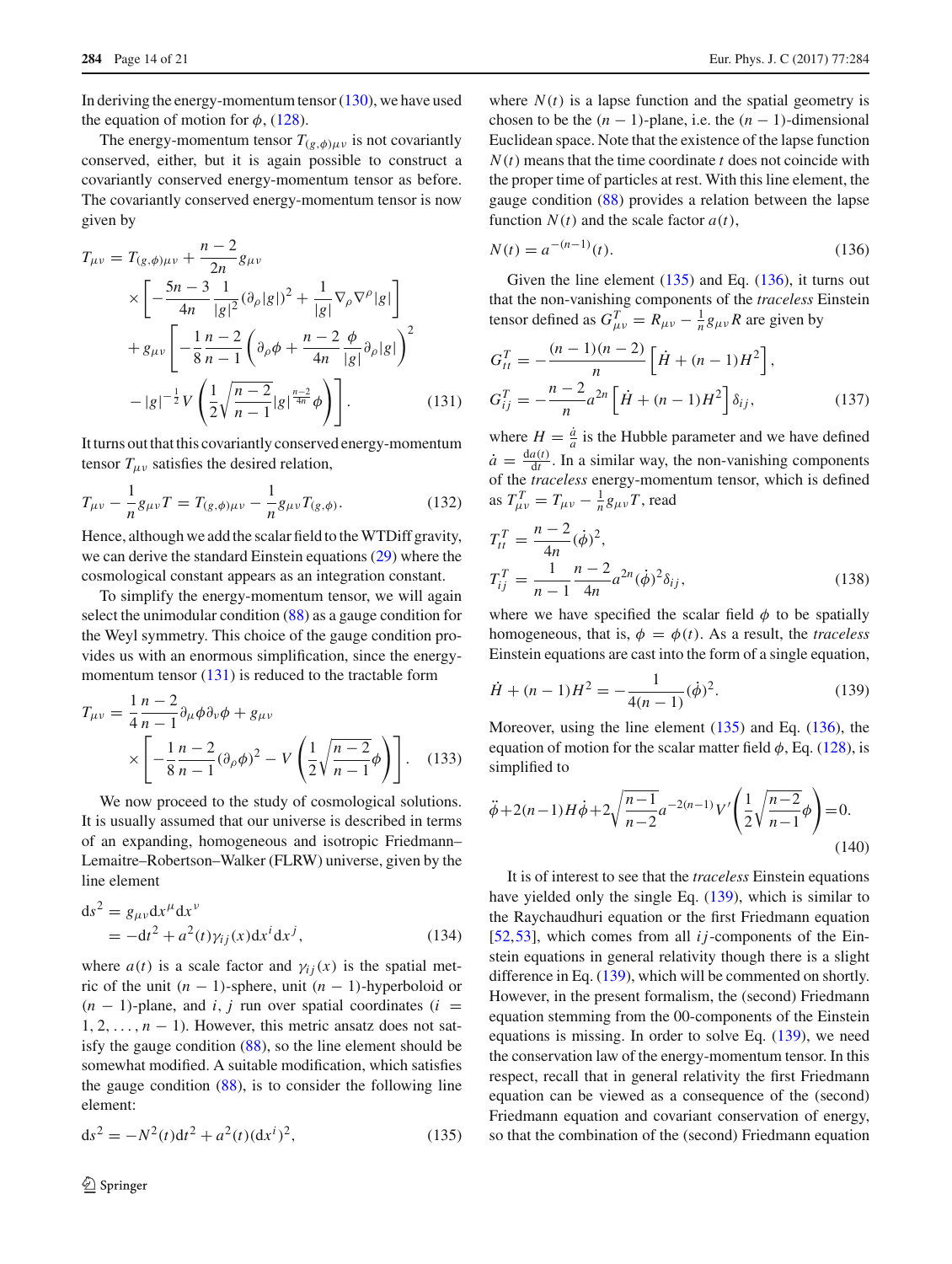In deriving the energy-momentum tensor  $(130)$ , we have used the equation of motion for  $\phi$ , [\(128\)](#page-12-4).

The energy-momentum tensor  $T_{(g,\phi) \mu \nu}$  is not covariantly conserved, either, but it is again possible to construct a covariantly conserved energy-momentum tensor as before. The covariantly conserved energy-momentum tensor is now given by

<span id="page-13-0"></span>
$$
T_{\mu\nu} = T_{(g,\phi)\mu\nu} + \frac{n-2}{2n} g_{\mu\nu}
$$
  
\n
$$
\times \left[ -\frac{5n-3}{4n} \frac{1}{|g|^2} (\partial_\rho |g|)^2 + \frac{1}{|g|} \nabla_\rho \nabla^\rho |g| \right]
$$
  
\n
$$
+ g_{\mu\nu} \left[ -\frac{1}{8} \frac{n-2}{n-1} \left( \partial_\rho \phi + \frac{n-2}{4n} \frac{\phi}{|g|} \partial_\rho |g| \right)^2 - |g|^{-\frac{1}{2}} V \left( \frac{1}{2} \sqrt{\frac{n-2}{n-1}} |g|^{\frac{n-2}{4n}} \phi \right) \right].
$$
 (131)

It turns out that this covariantly conserved energy-momentum tensor  $T_{\mu\nu}$  satisfies the desired relation,

$$
T_{\mu\nu} - \frac{1}{n}g_{\mu\nu}T = T_{(g,\phi)\mu\nu} - \frac{1}{n}g_{\mu\nu}T_{(g,\phi)}.
$$
 (132)

Hence, although we add the scalar field to the WTDiff gravity, we can derive the standard Einstein equations [\(29\)](#page-3-8) where the cosmological constant appears as an integration constant.

To simplify the energy-momentum tensor, we will again select the unimodular condition [\(88\)](#page-9-3) as a gauge condition for the Weyl symmetry. This choice of the gauge condition provides us with an enormous simplification, since the energymomentum tensor  $(131)$  is reduced to the tractable form

<span id="page-13-4"></span>
$$
T_{\mu\nu} = \frac{1}{4} \frac{n-2}{n-1} \partial_{\mu} \phi \partial_{\nu} \phi + g_{\mu\nu}
$$
  
 
$$
\times \left[ -\frac{1}{8} \frac{n-2}{n-1} (\partial_{\rho} \phi)^2 - V \left( \frac{1}{2} \sqrt{\frac{n-2}{n-1}} \phi \right) \right]. \quad (133)
$$

We now proceed to the study of cosmological solutions. It is usually assumed that our universe is described in terms of an expanding, homogeneous and isotropic Friedmann– Lemaitre–Robertson–Walker (FLRW) universe, given by the line element

<span id="page-13-5"></span>
$$
ds2 = g\mu\nu dx\mu dx\nu
$$
  
=  $-dt2 + a2(t)\gamma_{ij}(x)dxi dxj,$  (134)

where  $a(t)$  is a scale factor and  $\gamma_{ij}(x)$  is the spatial metric of the unit  $(n - 1)$ -sphere, unit  $(n - 1)$ -hyperboloid or  $(n - 1)$ -plane, and *i*, *j* run over spatial coordinates (*i* =  $1, 2, \ldots, n - 1$ ). However, this metric ansatz does not satisfy the gauge condition [\(88\)](#page-9-3), so the line element should be somewhat modified. A suitable modification, which satisfies the gauge condition [\(88\)](#page-9-3), is to consider the following line element:

<span id="page-13-1"></span>
$$
ds^{2} = -N^{2}(t)dt^{2} + a^{2}(t)(dx^{i})^{2},
$$
\n(135)

where  $N(t)$  is a lapse function and the spatial geometry is chosen to be the  $(n - 1)$ -plane, i.e. the  $(n - 1)$ -dimensional Euclidean space. Note that the existence of the lapse function *N*(*t*) means that the time coordinate *t* does not coincide with the proper time of particles at rest. With this line element, the gauge condition [\(88\)](#page-9-3) provides a relation between the lapse function  $N(t)$  and the scale factor  $a(t)$ ,

<span id="page-13-2"></span>
$$
N(t) = a^{-(n-1)}(t).
$$
\n(136)

Given the line element  $(135)$  and Eq.  $(136)$ , it turns out that the non-vanishing components of the *traceless* Einstein tensor defined as  $G_{\mu\nu}^T = R_{\mu\nu} - \frac{1}{n}g_{\mu\nu}R$  are given by

$$
G_{tt}^T = -\frac{(n-1)(n-2)}{n} \left[ \dot{H} + (n-1)H^2 \right],
$$
  
\n
$$
G_{ij}^T = -\frac{n-2}{n} a^{2n} \left[ \dot{H} + (n-1)H^2 \right] \delta_{ij},
$$
\n(137)

where  $H = \frac{\dot{a}}{a}$  is the Hubble parameter and we have defined  $\dot{a} = \frac{da(t)}{dt}$ . In a similar way, the non-vanishing components of the *traceless* energy-momentum tensor, which is defined as  $T_{\mu\nu}^T = T_{\mu\nu} - \frac{1}{n}g_{\mu\nu}T$ , read

$$
T_{it}^{T} = \frac{n-2}{4n} (\dot{\phi})^{2},
$$
  
\n
$$
T_{ij}^{T} = \frac{1}{n-1} \frac{n-2}{4n} a^{2n} (\dot{\phi})^{2} \delta_{ij},
$$
\n(138)

where we have specified the scalar field  $\phi$  to be spatially homogeneous, that is,  $\phi = \phi(t)$ . As a result, the *traceless* Einstein equations are cast into the form of a single equation,

<span id="page-13-3"></span>
$$
\dot{H} + (n-1)H^2 = -\frac{1}{4(n-1)}(\dot{\phi})^2.
$$
 (139)

Moreover, using the line element [\(135\)](#page-13-1) and Eq. [\(136\)](#page-13-2), the equation of motion for the scalar matter field  $\phi$ , Eq. [\(128\)](#page-12-4), is simplified to

$$
\ddot{\phi} + 2(n-1)H\dot{\phi} + 2\sqrt{\frac{n-1}{n-2}}a^{-2(n-1)}V'\left(\frac{1}{2}\sqrt{\frac{n-2}{n-1}}\phi\right) = 0.
$$
\n(140)

It is of interest to see that the *traceless* Einstein equations have yielded only the single Eq. [\(139\)](#page-13-3), which is similar to the Raychaudhuri equation or the first Friedmann equation [\[52](#page-20-6),[53\]](#page-20-7), which comes from all *ij*-components of the Einstein equations in general relativity though there is a slight difference in Eq. [\(139\)](#page-13-3), which will be commented on shortly. However, in the present formalism, the (second) Friedmann equation stemming from the 00-components of the Einstein equations is missing. In order to solve Eq. [\(139\)](#page-13-3), we need the conservation law of the energy-momentum tensor. In this respect, recall that in general relativity the first Friedmann equation can be viewed as a consequence of the (second) Friedmann equation and covariant conservation of energy, so that the combination of the (second) Friedmann equation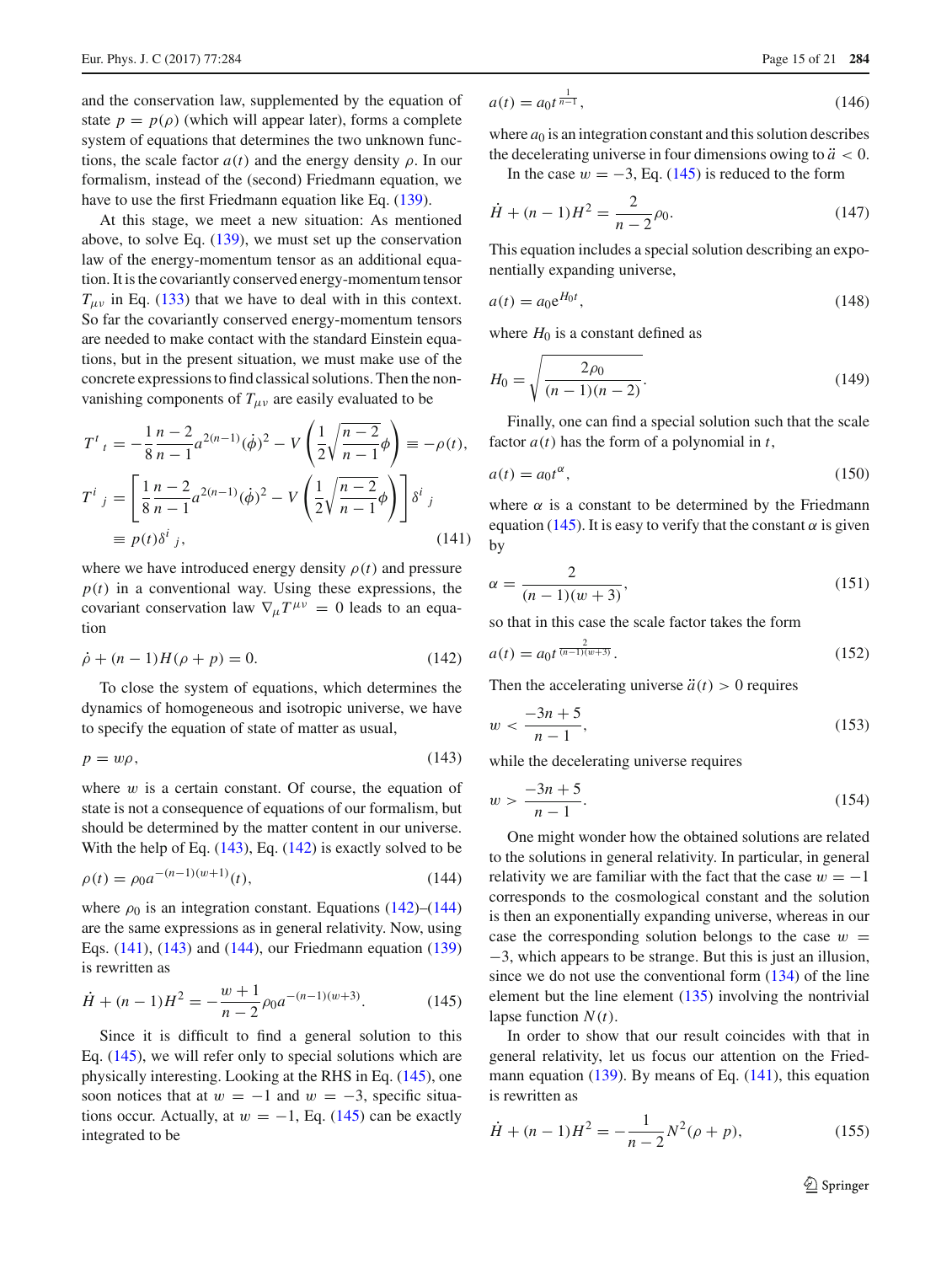and the conservation law, supplemented by the equation of state  $p = p(\rho)$  (which will appear later), forms a complete system of equations that determines the two unknown functions, the scale factor  $a(t)$  and the energy density  $\rho$ . In our formalism, instead of the (second) Friedmann equation, we have to use the first Friedmann equation like Eq. [\(139\)](#page-13-3).

At this stage, we meet a new situation: As mentioned above, to solve Eq. [\(139\)](#page-13-3), we must set up the conservation law of the energy-momentum tensor as an additional equation. It is the covariantly conserved energy-momentum tensor  $T_{\mu\nu}$  in Eq. [\(133\)](#page-13-4) that we have to deal with in this context. So far the covariantly conserved energy-momentum tensors are needed to make contact with the standard Einstein equations, but in the present situation, we must make use of the concrete expressions to find classical solutions. Then the nonvanishing components of  $T_{\mu\nu}$  are easily evaluated to be

<span id="page-14-3"></span>
$$
T^{i}{}_{t} = -\frac{1}{8} \frac{n-2}{n-1} a^{2(n-1)} (\dot{\phi})^{2} - V \left( \frac{1}{2} \sqrt{\frac{n-2}{n-1}} \phi \right) \equiv -\rho(t),
$$
  
\n
$$
T^{i}{}_{j} = \left[ \frac{1}{8} \frac{n-2}{n-1} a^{2(n-1)} (\dot{\phi})^{2} - V \left( \frac{1}{2} \sqrt{\frac{n-2}{n-1}} \phi \right) \right] \delta^{i}{}_{j}
$$
  
\n
$$
\equiv p(t) \delta^{i}{}_{j}, \qquad (141)
$$

where we have introduced energy density  $\rho(t)$  and pressure  $p(t)$  in a conventional way. Using these expressions, the covariant conservation law  $\nabla_{\mu} T^{\mu\nu} = 0$  leads to an equation

<span id="page-14-1"></span>
$$
\dot{\rho} + (n-1)H(\rho + p) = 0.
$$
 (142)

To close the system of equations, which determines the dynamics of homogeneous and isotropic universe, we have to specify the equation of state of matter as usual,

<span id="page-14-0"></span>
$$
p = w\rho,\tag{143}
$$

where  $w$  is a certain constant. Of course, the equation of state is not a consequence of equations of our formalism, but should be determined by the matter content in our universe. With the help of Eq.  $(143)$ , Eq.  $(142)$  is exactly solved to be

<span id="page-14-2"></span>
$$
\rho(t) = \rho_0 a^{-(n-1)(w+1)}(t),\tag{144}
$$

where  $\rho_0$  is an integration constant. Equations [\(142\)](#page-14-1)–[\(144\)](#page-14-2) are the same expressions as in general relativity. Now, using Eqs. [\(141\)](#page-14-3), [\(143\)](#page-14-0) and [\(144\)](#page-14-2), our Friedmann equation [\(139\)](#page-13-3) is rewritten as

<span id="page-14-4"></span>
$$
\dot{H} + (n-1)H^2 = -\frac{w+1}{n-2}\rho_0 a^{-(n-1)(w+3)}.\tag{145}
$$

Since it is difficult to find a general solution to this Eq. [\(145\)](#page-14-4), we will refer only to special solutions which are physically interesting. Looking at the RHS in Eq. [\(145\)](#page-14-4), one soon notices that at  $w = -1$  and  $w = -3$ , specific situations occur. Actually, at  $w = -1$ , Eq. [\(145\)](#page-14-4) can be exactly integrated to be

$$
a(t) = a_0 t^{\frac{1}{n-1}},
$$
\n(146)

where  $a_0$  is an integration constant and this solution describes the decelerating universe in four dimensions owing to  $\ddot{a} < 0$ .

In the case  $w = -3$ , Eq. [\(145\)](#page-14-4) is reduced to the form

$$
\dot{H} + (n-1)H^2 = \frac{2}{n-2}\rho_0.
$$
\n(147)

This equation includes a special solution describing an exponentially expanding universe,

$$
a(t) = a_0 e^{H_0 t},
$$
\n(148)

where  $H_0$  is a constant defined as

$$
H_0 = \sqrt{\frac{2\rho_0}{(n-1)(n-2)}}.
$$
\n(149)

Finally, one can find a special solution such that the scale factor  $a(t)$  has the form of a polynomial in  $t$ ,

$$
a(t) = a_0 t^{\alpha},\tag{150}
$$

where  $\alpha$  is a constant to be determined by the Friedmann equation [\(145\)](#page-14-4). It is easy to verify that the constant  $\alpha$  is given by

$$
\alpha = \frac{2}{(n-1)(w+3)},
$$
\n(151)

so that in this case the scale factor takes the form

$$
a(t) = a_0 t^{\frac{2}{(n-1)(w+3)}}.
$$
\n(152)

Then the accelerating universe  $\ddot{a}(t) > 0$  requires

$$
w < \frac{-3n+5}{n-1},\tag{153}
$$

while the decelerating universe requires

$$
w > \frac{-3n+5}{n-1}.\tag{154}
$$

One might wonder how the obtained solutions are related to the solutions in general relativity. In particular, in general relativity we are familiar with the fact that the case  $w = -1$ corresponds to the cosmological constant and the solution is then an exponentially expanding universe, whereas in our case the corresponding solution belongs to the case  $w =$ −3, which appears to be strange. But this is just an illusion, since we do not use the conventional form  $(134)$  of the line element but the line element [\(135\)](#page-13-1) involving the nontrivial lapse function *N*(*t*).

In order to show that our result coincides with that in general relativity, let us focus our attention on the Friedmann equation  $(139)$ . By means of Eq.  $(141)$ , this equation is rewritten as

<span id="page-14-5"></span>
$$
\dot{H} + (n-1)H^2 = -\frac{1}{n-2}N^2(\rho + p),\tag{155}
$$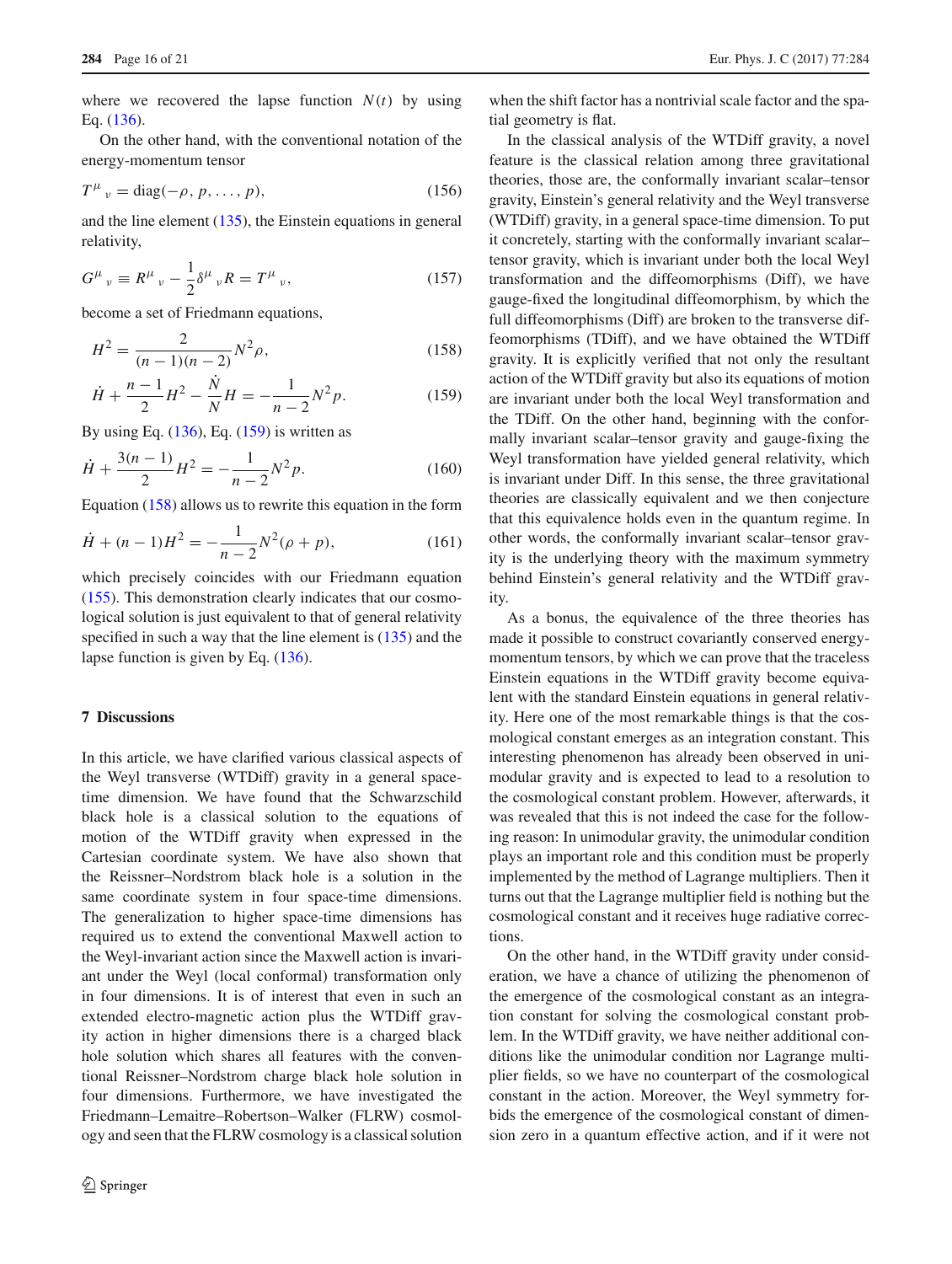where we recovered the lapse function  $N(t)$  by using Eq. [\(136\)](#page-13-2).

On the other hand, with the conventional notation of the energy-momentum tensor

$$
T^{\mu}{}_{\nu} = \text{diag}(-\rho, p, \dots, p),\tag{156}
$$

and the line element [\(135\)](#page-13-1), the Einstein equations in general relativity,

$$
G^{\mu}{}_{\nu} \equiv R^{\mu}{}_{\nu} - \frac{1}{2} \delta^{\mu}{}_{\nu} R = T^{\mu}{}_{\nu}, \tag{157}
$$

become a set of Friedmann equations,

<span id="page-15-0"></span>
$$
H^2 = \frac{2}{(n-1)(n-2)} N^2 \rho,
$$
\n(158)

$$
\dot{H} + \frac{n-1}{2}H^2 - \frac{\dot{N}}{N}H = -\frac{1}{n-2}N^2p.
$$
 (159)

By using Eq.  $(136)$ , Eq.  $(159)$  is written as

$$
\dot{H} + \frac{3(n-1)}{2}H^2 = -\frac{1}{n-2}N^2p.
$$
 (160)

Equation [\(158\)](#page-15-0) allows us to rewrite this equation in the form

$$
\dot{H} + (n-1)H^2 = -\frac{1}{n-2}N^2(\rho + p),\tag{161}
$$

which precisely coincides with our Friedmann equation [\(155\)](#page-14-5). This demonstration clearly indicates that our cosmological solution is just equivalent to that of general relativity specified in such a way that the line element is  $(135)$  and the lapse function is given by Eq. [\(136\)](#page-13-2).

## **7 Discussions**

In this article, we have clarified various classical aspects of the Weyl transverse (WTDiff) gravity in a general spacetime dimension. We have found that the Schwarzschild black hole is a classical solution to the equations of motion of the WTDiff gravity when expressed in the Cartesian coordinate system. We have also shown that the Reissner–Nordstrom black hole is a solution in the same coordinate system in four space-time dimensions. The generalization to higher space-time dimensions has required us to extend the conventional Maxwell action to the Weyl-invariant action since the Maxwell action is invariant under the Weyl (local conformal) transformation only in four dimensions. It is of interest that even in such an extended electro-magnetic action plus the WTDiff gravity action in higher dimensions there is a charged black hole solution which shares all features with the conventional Reissner–Nordstrom charge black hole solution in four dimensions. Furthermore, we have investigated the Friedmann–Lemaitre–Robertson–Walker (FLRW) cosmology and seen that the FLRW cosmology is a classical solution

when the shift factor has a nontrivial scale factor and the spatial geometry is flat.

In the classical analysis of the WTDiff gravity, a novel feature is the classical relation among three gravitational theories, those are, the conformally invariant scalar–tensor gravity, Einstein's general relativity and the Weyl transverse (WTDiff) gravity, in a general space-time dimension. To put it concretely, starting with the conformally invariant scalar– tensor gravity, which is invariant under both the local Weyl transformation and the diffeomorphisms (Diff), we have gauge-fixed the longitudinal diffeomorphism, by which the full diffeomorphisms (Diff) are broken to the transverse diffeomorphisms (TDiff), and we have obtained the WTDiff gravity. It is explicitly verified that not only the resultant action of the WTDiff gravity but also its equations of motion are invariant under both the local Weyl transformation and the TDiff. On the other hand, beginning with the conformally invariant scalar–tensor gravity and gauge-fixing the Weyl transformation have yielded general relativity, which is invariant under Diff. In this sense, the three gravitational theories are classically equivalent and we then conjecture that this equivalence holds even in the quantum regime. In other words, the conformally invariant scalar–tensor gravity is the underlying theory with the maximum symmetry behind Einstein's general relativity and the WTDiff gravity.

As a bonus, the equivalence of the three theories has made it possible to construct covariantly conserved energymomentum tensors, by which we can prove that the traceless Einstein equations in the WTDiff gravity become equivalent with the standard Einstein equations in general relativity. Here one of the most remarkable things is that the cosmological constant emerges as an integration constant. This interesting phenomenon has already been observed in unimodular gravity and is expected to lead to a resolution to the cosmological constant problem. However, afterwards, it was revealed that this is not indeed the case for the following reason: In unimodular gravity, the unimodular condition plays an important role and this condition must be properly implemented by the method of Lagrange multipliers. Then it turns out that the Lagrange multiplier field is nothing but the cosmological constant and it receives huge radiative corrections.

On the other hand, in the WTDiff gravity under consideration, we have a chance of utilizing the phenomenon of the emergence of the cosmological constant as an integration constant for solving the cosmological constant problem. In the WTDiff gravity, we have neither additional conditions like the unimodular condition nor Lagrange multiplier fields, so we have no counterpart of the cosmological constant in the action. Moreover, the Weyl symmetry forbids the emergence of the cosmological constant of dimension zero in a quantum effective action, and if it were not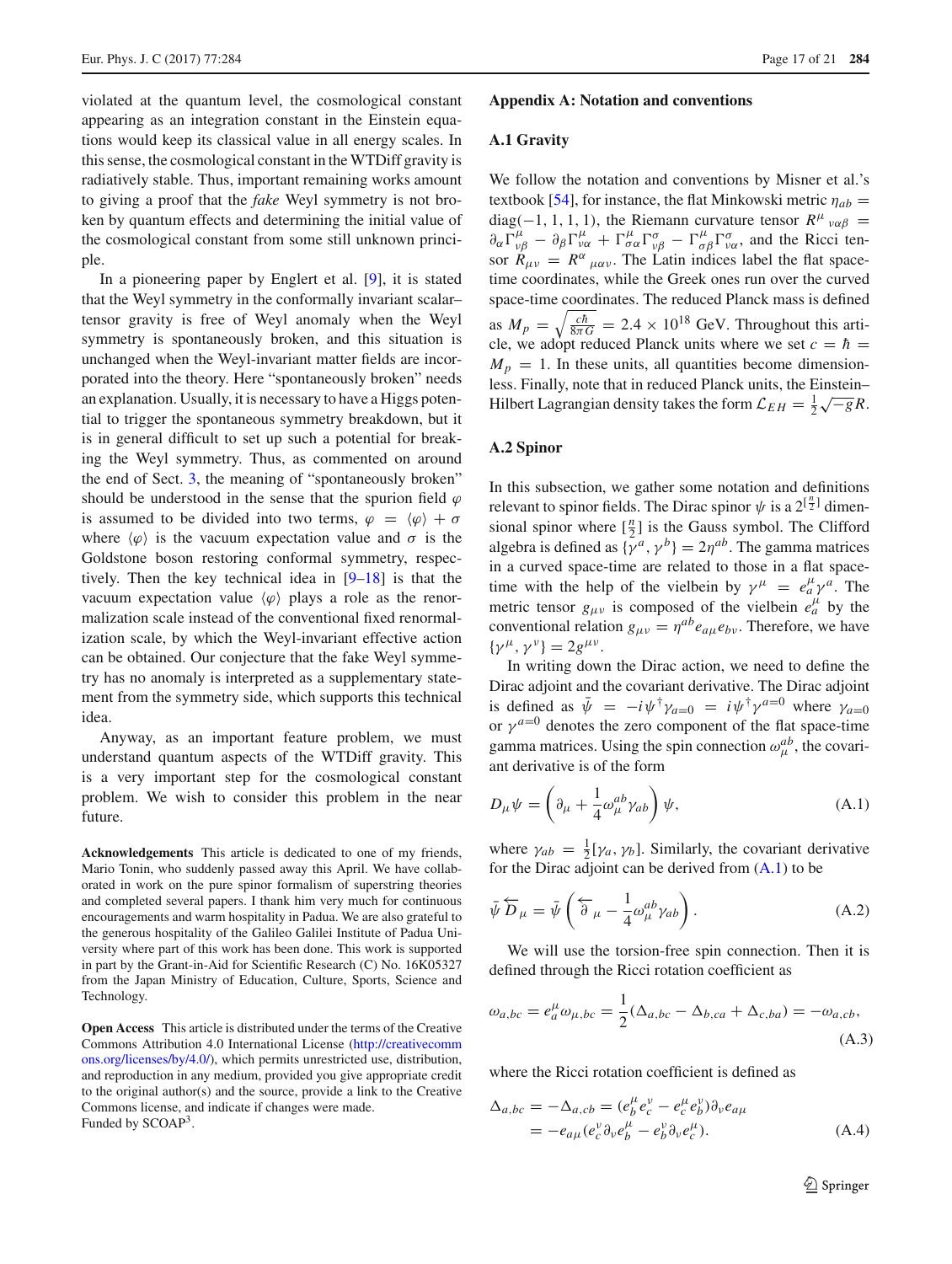violated at the quantum level, the cosmological constant appearing as an integration constant in the Einstein equations would keep its classical value in all energy scales. In this sense, the cosmological constant in the WTDiff gravity is radiatively stable. Thus, important remaining works amount to giving a proof that the *fake* Weyl symmetry is not broken by quantum effects and determining the initial value of the cosmological constant from some still unknown principle.

In a pioneering paper by Englert et al. [\[9](#page-19-8)], it is stated that the Weyl symmetry in the conformally invariant scalar– tensor gravity is free of Weyl anomaly when the Weyl symmetry is spontaneously broken, and this situation is unchanged when the Weyl-invariant matter fields are incorporated into the theory. Here "spontaneously broken" needs an explanation. Usually, it is necessary to have a Higgs potential to trigger the spontaneous symmetry breakdown, but it is in general difficult to set up such a potential for breaking the Weyl symmetry. Thus, as commented on around the end of Sect. [3,](#page-4-0) the meaning of "spontaneously broken" should be understood in the sense that the spurion field  $\varphi$ is assumed to be divided into two terms,  $\varphi = \langle \varphi \rangle + \sigma$ where  $\langle \varphi \rangle$  is the vacuum expectation value and  $\sigma$  is the Goldstone boson restoring conformal symmetry, respectively. Then the key technical idea in [\[9](#page-19-8)[–18](#page-19-10)] is that the vacuum expectation value  $\langle \varphi \rangle$  plays a role as the renormalization scale instead of the conventional fixed renormalization scale, by which the Weyl-invariant effective action can be obtained. Our conjecture that the fake Weyl symmetry has no anomaly is interpreted as a supplementary statement from the symmetry side, which supports this technical idea.

Anyway, as an important feature problem, we must understand quantum aspects of the WTDiff gravity. This is a very important step for the cosmological constant problem. We wish to consider this problem in the near future.

**Acknowledgements** This article is dedicated to one of my friends, Mario Tonin, who suddenly passed away this April. We have collaborated in work on the pure spinor formalism of superstring theories and completed several papers. I thank him very much for continuous encouragements and warm hospitality in Padua. We are also grateful to the generous hospitality of the Galileo Galilei Institute of Padua University where part of this work has been done. This work is supported in part by the Grant-in-Aid for Scientific Research (C) No. 16K05327 from the Japan Ministry of Education, Culture, Sports, Science and Technology.

<span id="page-16-0"></span>**Open Access** This article is distributed under the terms of the Creative Commons Attribution 4.0 International License [\(http://creativecomm](http://creativecommons.org/licenses/by/4.0/) [ons.org/licenses/by/4.0/\)](http://creativecommons.org/licenses/by/4.0/), which permits unrestricted use, distribution, and reproduction in any medium, provided you give appropriate credit to the original author(s) and the source, provide a link to the Creative Commons license, and indicate if changes were made. Funded by SCOAP3.

#### <span id="page-16-2"></span>**Appendix A: Notation and conventions**

## **A.1 Gravity**

We follow the notation and conventions by Misner et al.'s textbook [\[54](#page-20-8)], for instance, the flat Minkowski metric  $\eta_{ab}$  = diag(-1, 1, 1, 1), the Riemann curvature tensor  $R^{\mu}$  va $\beta$  =  $\partial_{\alpha} \Gamma^{\mu}_{\nu\beta} - \partial_{\beta} \Gamma^{\mu}_{\nu\alpha} + \Gamma^{\mu}_{\sigma\alpha} \Gamma^{\sigma}_{\nu\beta} - \Gamma^{\mu}_{\sigma\beta} \Gamma^{\sigma}_{\nu\alpha}$ , and the Ricci tensor  $R_{\mu\nu} = R^{\alpha}{}_{\mu\alpha\nu}$ . The Latin indices label the flat spacetime coordinates, while the Greek ones run over the curved space-time coordinates. The reduced Planck mass is defined as  $M_p = \sqrt{\frac{c\hbar}{8\pi G}} = 2.4 \times 10^{18}$  GeV. Throughout this article, we adopt reduced Planck units where we set  $c = \hbar$  =  $M_p = 1$ . In these units, all quantities become dimensionless. Finally, note that in reduced Planck units, the Einstein– Hilbert Lagrangian density takes the form  $\mathcal{L}_{EH} = \frac{1}{2}\sqrt{-g}R$ .

## <span id="page-16-3"></span>**A.2 Spinor**

In this subsection, we gather some notation and definitions relevant to spinor fields. The Dirac spinor  $\psi$  is a  $2^{\lceil \frac{n}{2} \rceil}$  dimensional spinor where  $\left[\frac{n}{2}\right]$  is the Gauss symbol. The Clifford algebra is defined as  $\{\gamma^a, \gamma^b\} = 2\eta^{ab}$ . The gamma matrices in a curved space-time are related to those in a flat spacetime with the help of the vielbein by  $\gamma^{\mu} = e^{\mu}_a \gamma^a$ . The metric tensor  $g_{\mu\nu}$  is composed of the vielbein  $e^{\mu}_a$  by the conventional relation  $g_{\mu\nu} = \eta^{ab} e_{a\mu} e_{b\nu}$ . Therefore, we have  $\{\gamma^{\mu}, \gamma^{\nu}\} = 2g^{\mu\nu}.$ 

In writing down the Dirac action, we need to define the Dirac adjoint and the covariant derivative. The Dirac adjoint is defined as  $\bar{\psi} = -i\psi^{\dagger}\gamma_{a=0} = i\psi^{\dagger}\gamma^{a=0}$  where  $\gamma_{a=0}$ or  $\gamma^{a=0}$  denotes the zero component of the flat space-time gamma matrices. Using the spin connection  $\omega_{\mu}^{ab}$ , the covariant derivative is of the form

<span id="page-16-4"></span>
$$
D_{\mu}\psi = \left(\partial_{\mu} + \frac{1}{4}\omega_{\mu}^{ab}\gamma_{ab}\right)\psi,
$$
\n(A.1)

where  $\gamma_{ab} = \frac{1}{2} [\gamma_a, \gamma_b]$ . Similarly, the covariant derivative for the Dirac adjoint can be derived from  $(A,1)$  to be

$$
\bar{\psi}\overleftarrow{D}_{\mu} = \bar{\psi}\left(\overleftarrow{\partial}_{\mu} - \frac{1}{4}\omega_{\mu}^{ab}\gamma_{ab}\right). \tag{A.2}
$$

We will use the torsion-free spin connection. Then it is defined through the Ricci rotation coefficient as

$$
\omega_{a,bc} = e_a^{\mu} \omega_{\mu,bc} = \frac{1}{2} (\Delta_{a,bc} - \Delta_{b,ca} + \Delta_{c,ba}) = -\omega_{a,cb},
$$
\n(A.3)

where the Ricci rotation coefficient is defined as

<span id="page-16-1"></span>
$$
\Delta_{a,bc} = -\Delta_{a,cb} = (e_b^{\mu} e_c^{\nu} - e_c^{\mu} e_b^{\nu}) \partial_{\nu} e_{a\mu}
$$
  
= 
$$
-e_{a\mu} (e_c^{\nu} \partial_{\nu} e_b^{\mu} - e_b^{\nu} \partial_{\nu} e_c^{\mu}).
$$
 (A.4)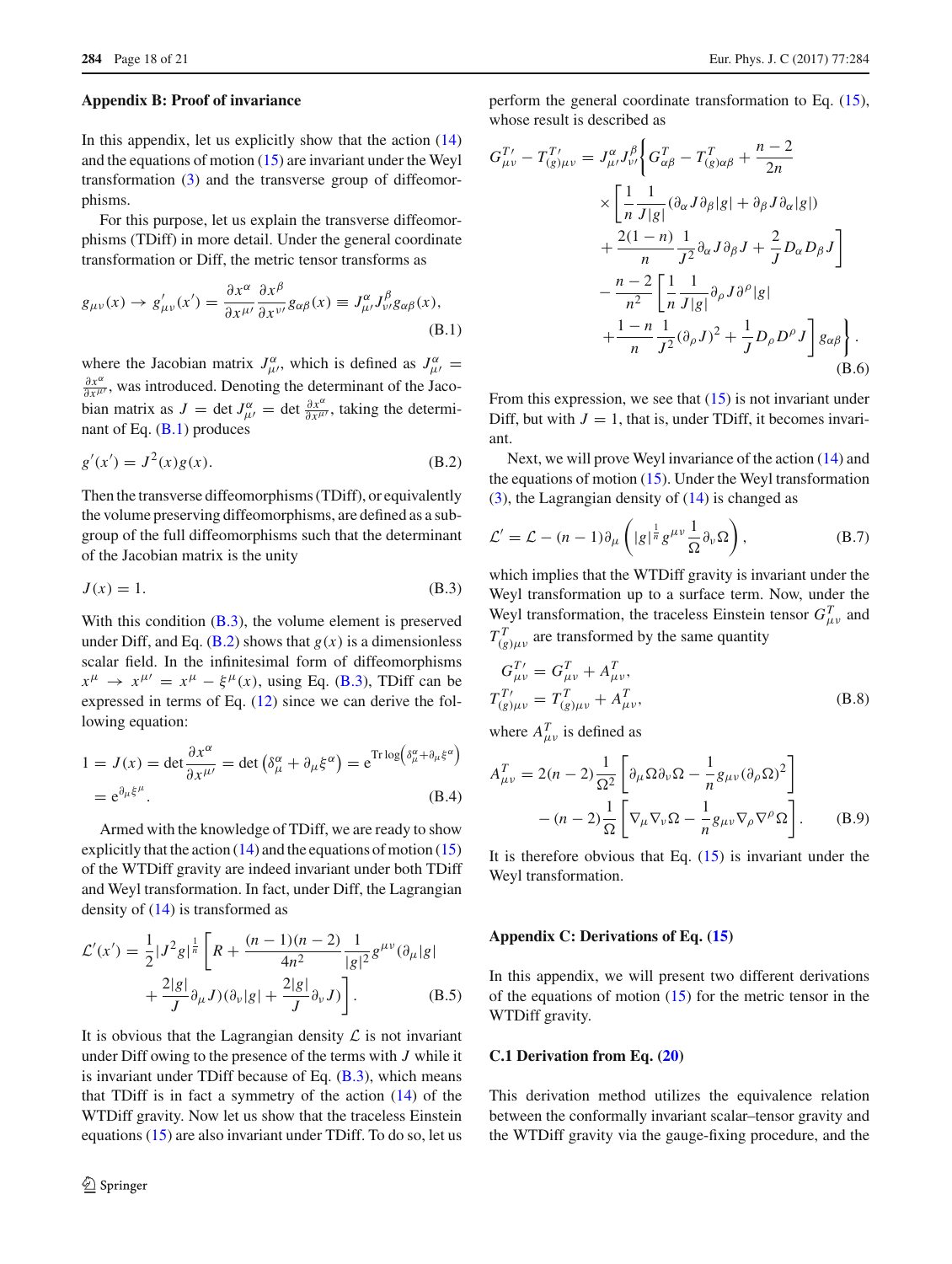#### **Appendix B: Proof of invariance**

In this appendix, let us explicitly show that the action  $(14)$ and the equations of motion  $(15)$  are invariant under the Weyl transformation [\(3\)](#page-1-4) and the transverse group of diffeomorphisms.

For this purpose, let us explain the transverse diffeomorphisms (TDiff) in more detail. Under the general coordinate transformation or Diff, the metric tensor transforms as

<span id="page-17-1"></span>
$$
g_{\mu\nu}(x) \to g'_{\mu\nu}(x') = \frac{\partial x^{\alpha}}{\partial x^{\mu\prime}} \frac{\partial x^{\beta}}{\partial x^{\nu\prime}} g_{\alpha\beta}(x) \equiv J^{\alpha}_{\mu\prime} J^{\beta}_{\nu\prime} g_{\alpha\beta}(x),
$$
\n(B.1)

where the Jacobian matrix  $J_{\mu}^{\alpha}$ , which is defined as  $J_{\mu}^{\alpha}$  =  $\frac{\partial x^{\alpha}}{\partial x^{\mu}}$ , was introduced. Denoting the determinant of the Jacobian matrix as  $J = \det J_{\mu}^{\alpha} = \det \frac{\partial x^{\alpha}}{\partial x^{\mu}}$ , taking the determinant of Eq. [\(B.1\)](#page-17-1) produces

<span id="page-17-3"></span>
$$
g'(x') = J^2(x)g(x).
$$
 (B.2)

Then the transverse diffeomorphisms (TDiff), or equivalently the volume preserving diffeomorphisms, are defined as a subgroup of the full diffeomorphisms such that the determinant of the Jacobian matrix is the unity

<span id="page-17-2"></span>
$$
J(x) = 1.
$$
 (B.3)

With this condition (**B.3**), the volume element is preserved under Diff, and Eq. [\(B.2\)](#page-17-3) shows that  $g(x)$  is a dimensionless scalar field. In the infinitesimal form of diffeomorphisms  $x^{\mu} \rightarrow x^{\mu\prime} = x^{\mu} - \xi^{\mu}(x)$ , using Eq. [\(B.3\)](#page-17-2), TDiff can be expressed in terms of Eq. [\(12\)](#page-2-5) since we can derive the following equation:

$$
1 = J(x) = \det \frac{\partial x^{\alpha}}{\partial x^{\mu'}} = \det \left( \delta^{\alpha}_{\mu} + \partial_{\mu} \xi^{\alpha} \right) = e^{\text{Tr} \log \left( \delta^{\alpha}_{\mu} + \partial_{\mu} \xi^{\alpha} \right)}
$$
  
=  $e^{\partial_{\mu} \xi^{\mu}}$ . (B.4)

Armed with the knowledge of TDiff, we are ready to show explicitly that the action  $(14)$  and the equations of motion  $(15)$ of the WTDiff gravity are indeed invariant under both TDiff and Weyl transformation. In fact, under Diff, the Lagrangian density of [\(14\)](#page-2-8) is transformed as

$$
\mathcal{L}'(x') = \frac{1}{2} |J^2 g|^{\frac{1}{n}} \left[ R + \frac{(n-1)(n-2)}{4n^2} \frac{1}{|g|^2} g^{\mu \nu} (\partial_{\mu} |g| + \frac{2|g|}{J} \partial_{\mu} J)(\partial_{\nu} |g| + \frac{2|g|}{J} \partial_{\nu} J) \right].
$$
\n(B.5)

It is obvious that the Lagrangian density  $\mathcal L$  is not invariant under Diff owing to the presence of the terms with *J* while it is invariant under TDiff because of Eq.  $(B.3)$ , which means that TDiff is in fact a symmetry of the action  $(14)$  of the WTDiff gravity. Now let us show that the traceless Einstein equations [\(15\)](#page-2-7) are also invariant under TDiff. To do so, let us perform the general coordinate transformation to Eq. [\(15\)](#page-2-7), whose result is described as

$$
G_{\mu\nu}^{T'} - T_{(g)\mu\nu}^{T'} = J_{\mu\nu}^{\alpha} J_{\nu\prime}^{\beta} \left\{ G_{\alpha\beta}^{T} - T_{(g)\alpha\beta}^{T} + \frac{n-2}{2n} \right.\times \left[ \frac{1}{n} \frac{1}{J|g|} (\partial_{\alpha} J \partial_{\beta} |g| + \partial_{\beta} J \partial_{\alpha} |g|) + \frac{2(1-n)}{n} \frac{1}{J^2} \partial_{\alpha} J \partial_{\beta} J + \frac{2}{J} D_{\alpha} D_{\beta} J \right]- \frac{n-2}{n^2} \left[ \frac{1}{n} \frac{1}{J|g|} \partial_{\rho} J \partial^{\rho} |g| + \frac{1-n}{n} \frac{1}{J^2} (\partial_{\rho} J)^2 + \frac{1}{J} D_{\rho} D^{\rho} J \right] g_{\alpha\beta} \right\}. (B.6)
$$

From this expression, we see that  $(15)$  is not invariant under Diff, but with  $J = 1$ , that is, under TDiff, it becomes invariant.

Next, we will prove Weyl invariance of the action [\(14\)](#page-2-8) and the equations of motion [\(15\)](#page-2-7). Under the Weyl transformation [\(3\)](#page-1-4), the Lagrangian density of [\(14\)](#page-2-8) is changed as

$$
\mathcal{L}' = \mathcal{L} - (n-1)\partial_{\mu} \left( |g|^{\frac{1}{n}} g^{\mu \nu} \frac{1}{\Omega} \partial_{\nu} \Omega \right), \tag{B.7}
$$

which implies that the WTDiff gravity is invariant under the Weyl transformation up to a surface term. Now, under the Weyl transformation, the traceless Einstein tensor  $G_{\mu\nu}^T$  and  $T_{(g)\mu\nu}^T$  are transformed by the same quantity

$$
G_{\mu\nu}^{T'} = G_{\mu\nu}^{T} + A_{\mu\nu}^{T},
$$
  
\n
$$
T_{(g)\mu\nu}^{T'} = T_{(g)\mu\nu}^{T} + A_{\mu\nu}^{T},
$$
\n(B.8)

where  $A_{\mu\nu}^T$  is defined as

$$
A_{\mu\nu}^{T} = 2(n-2)\frac{1}{\Omega^{2}} \left[ \partial_{\mu}\Omega\partial_{\nu}\Omega - \frac{1}{n}g_{\mu\nu}(\partial_{\rho}\Omega)^{2} \right] - (n-2)\frac{1}{\Omega} \left[ \nabla_{\mu}\nabla_{\nu}\Omega - \frac{1}{n}g_{\mu\nu}\nabla_{\rho}\nabla^{\rho}\Omega \right].
$$
 (B.9)

<span id="page-17-0"></span>It is therefore obvious that Eq.  $(15)$  is invariant under the Weyl transformation.

#### **Appendix C: Derivations of Eq. [\(15\)](#page-2-7)**

In this appendix, we will present two different derivations of the equations of motion  $(15)$  for the metric tensor in the WTDiff gravity.

### **C.1 Derivation from Eq. [\(20\)](#page-3-9)**

This derivation method utilizes the equivalence relation between the conformally invariant scalar–tensor gravity and the WTDiff gravity via the gauge-fixing procedure, and the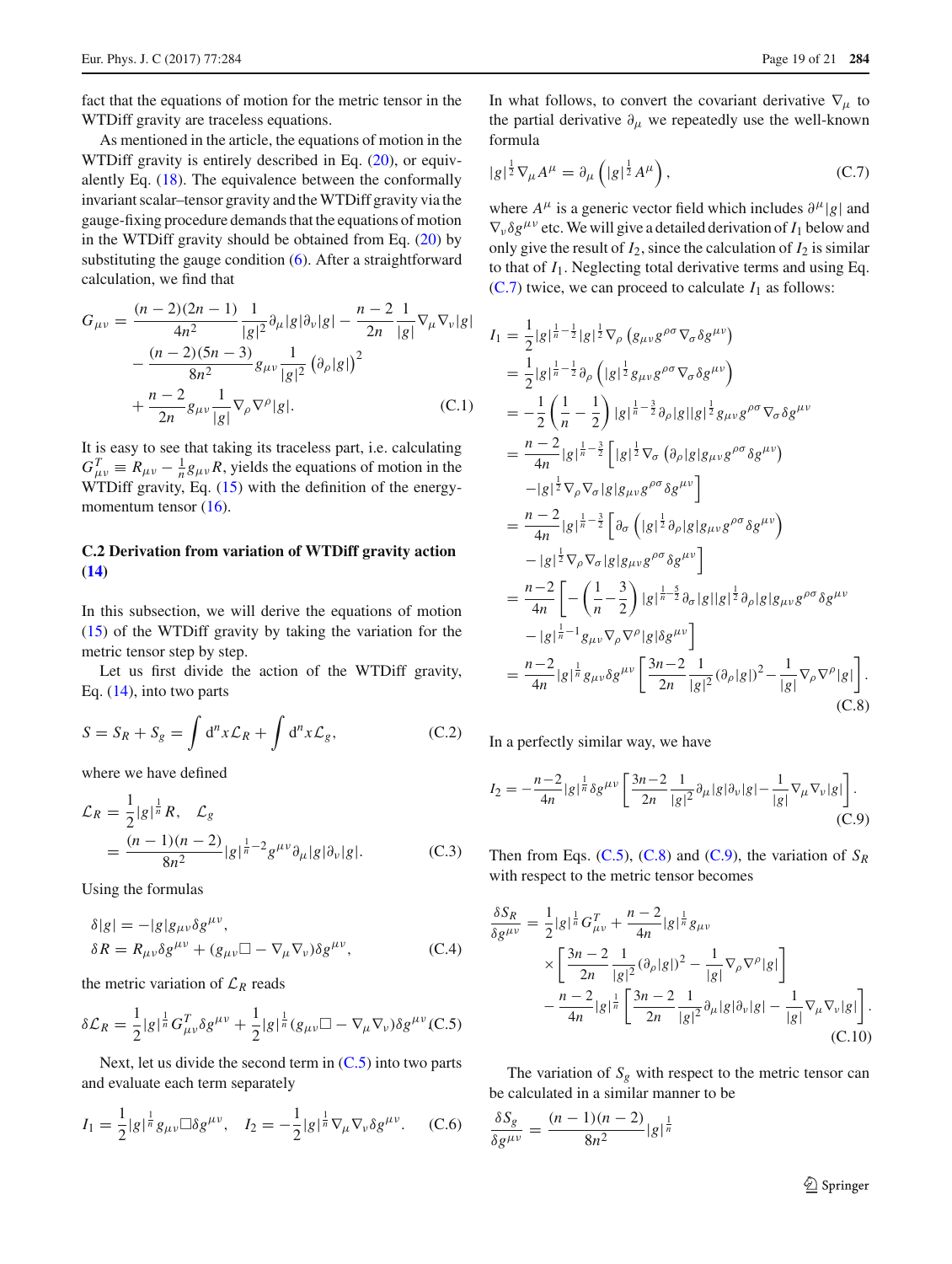fact that the equations of motion for the metric tensor in the WTDiff gravity are traceless equations.

As mentioned in the article, the equations of motion in the WTDiff gravity is entirely described in Eq.  $(20)$ , or equivalently Eq. [\(18\)](#page-3-1). The equivalence between the conformally invariant scalar–tensor gravity and the WTDiff gravity via the gauge-fixing procedure demands that the equations of motion in the WTDiff gravity should be obtained from Eq. [\(20\)](#page-3-9) by substituting the gauge condition [\(6\)](#page-2-2). After a straightforward calculation, we find that

$$
G_{\mu\nu} = \frac{(n-2)(2n-1)}{4n^2} \frac{1}{|g|^2} \partial_{\mu} |g| \partial_{\nu} |g| - \frac{n-2}{2n} \frac{1}{|g|} \nabla_{\mu} \nabla_{\nu} |g| - \frac{(n-2)(5n-3)}{8n^2} g_{\mu\nu} \frac{1}{|g|^2} (\partial_{\rho} |g|)^2 + \frac{n-2}{2n} g_{\mu\nu} \frac{1}{|g|} \nabla_{\rho} \nabla^{\rho} |g|.
$$
 (C.1)

It is easy to see that taking its traceless part, i.e. calculating  $G_{\mu\nu}^T \equiv R_{\mu\nu} - \frac{1}{n} g_{\mu\nu} R$ , yields the equations of motion in the WTDiff gravity, Eq. [\(15\)](#page-2-7) with the definition of the energymomentum tensor  $(16)$ .

## **C.2 Derivation from variation of WTDiff gravity action [\(14\)](#page-2-8)**

In this subsection, we will derive the equations of motion [\(15\)](#page-2-7) of the WTDiff gravity by taking the variation for the metric tensor step by step.

Let us first divide the action of the WTDiff gravity, Eq. [\(14\)](#page-2-8), into two parts

$$
S = S_R + S_g = \int d^n x \mathcal{L}_R + \int d^n x \mathcal{L}_g,
$$
 (C.2)

where we have defined

$$
\mathcal{L}_R = \frac{1}{2} |g|^{\frac{1}{n}} R, \quad \mathcal{L}_g
$$
  
= 
$$
\frac{(n-1)(n-2)}{8n^2} |g|^{\frac{1}{n}-2} g^{\mu\nu} \partial_\mu |g| \partial_\nu |g|.
$$
 (C.3)

Using the formulas

$$
\delta|g| = -|g|g_{\mu\nu}\delta g^{\mu\nu},
$$
  
\n
$$
\delta R = R_{\mu\nu}\delta g^{\mu\nu} + (g_{\mu\nu}\Box - \nabla_{\mu}\nabla_{\nu})\delta g^{\mu\nu},
$$
\n(C.4)

the metric variation of  $\mathcal{L}_R$  reads

<span id="page-18-0"></span>
$$
\delta \mathcal{L}_R = \frac{1}{2} |g|^\frac{1}{n} G_{\mu\nu}^T \delta g^{\mu\nu} + \frac{1}{2} |g|^\frac{1}{n} (g_{\mu\nu} \Box - \nabla_\mu \nabla_\nu) \delta g^{\mu\nu} (C.5)
$$

Next, let us divide the second term in  $(C.5)$  into two parts and evaluate each term separately

$$
I_1 = \frac{1}{2} |g|^{\frac{1}{n}} g_{\mu\nu} \Box \delta g^{\mu\nu}, \quad I_2 = -\frac{1}{2} |g|^{\frac{1}{n}} \nabla_{\mu} \nabla_{\nu} \delta g^{\mu\nu}.
$$
 (C.6)

In what follows, to convert the covariant derivative  $\nabla_{\mu}$  to the partial derivative  $\partial_{\mu}$  we repeatedly use the well-known formula

<span id="page-18-1"></span>
$$
|g|^{\frac{1}{2}}\nabla_{\mu}A^{\mu} = \partial_{\mu}\left(|g|^{\frac{1}{2}}A^{\mu}\right),\tag{C.7}
$$

where  $A^{\mu}$  is a generic vector field which includes  $\partial^{\mu}|g|$  and  $\nabla_{\nu} \delta g^{\mu\nu}$  etc. We will give a detailed derivation of  $I_1$  below and only give the result of  $I_2$ , since the calculation of  $I_2$  is similar to that of  $I_1$ . Neglecting total derivative terms and using Eq.  $(C.7)$  twice, we can proceed to calculate  $I_1$  as follows:

<span id="page-18-2"></span>
$$
I_{1} = \frac{1}{2}|g|^{\frac{1}{n}-\frac{1}{2}}|g|^{\frac{1}{2}}\nabla_{\rho}\left(g_{\mu\nu}g^{\rho\sigma}\nabla_{\sigma}\delta g^{\mu\nu}\right)
$$
  
\n
$$
= \frac{1}{2}|g|^{\frac{1}{n}-\frac{1}{2}}\partial_{\rho}\left(|g|^{\frac{1}{2}}g_{\mu\nu}g^{\rho\sigma}\nabla_{\sigma}\delta g^{\mu\nu}\right)
$$
  
\n
$$
= -\frac{1}{2}\left(\frac{1}{n}-\frac{1}{2}\right)|g|^{\frac{1}{n}-\frac{3}{2}}\partial_{\rho}|g||g|^{\frac{1}{2}}g_{\mu\nu}g^{\rho\sigma}\nabla_{\sigma}\delta g^{\mu\nu}
$$
  
\n
$$
= \frac{n-2}{4n}|g|^{\frac{1}{n}-\frac{3}{2}}\left[|g|^{\frac{1}{2}}\nabla_{\sigma}\left(\partial_{\rho}|g|g_{\mu\nu}g^{\rho\sigma}\delta g^{\mu\nu}\right)\right]
$$
  
\n
$$
= \frac{n-2}{4n}|g|^{\frac{1}{n}-\frac{3}{2}}\left[\partial_{\sigma}\left(|g|^{\frac{1}{2}}\partial_{\rho}|g|g_{\mu\nu}g^{\rho\sigma}\delta g^{\mu\nu}\right)\right]
$$
  
\n
$$
= \frac{n-2}{4n}\left[-\left(\frac{1}{n}-\frac{3}{2}\right)|g|^{\frac{1}{n}-\frac{5}{2}}\partial_{\sigma}|g||g|^{\frac{1}{2}}\partial_{\rho}|g|g_{\mu\nu}g^{\rho\sigma}\delta g^{\mu\nu}\right]
$$
  
\n
$$
= \frac{n-2}{4n}\left[-\left(\frac{1}{n}-\frac{3}{2}\right)|g|^{\frac{1}{n}-\frac{5}{2}}\partial_{\sigma}|g||g|^{\frac{1}{2}}\partial_{\rho}|g|g_{\mu\nu}g^{\rho\sigma}\delta g^{\mu\nu}\right]
$$
  
\n
$$
= \frac{n-2}{4n}|g|^{\frac{1}{n}-1}g_{\mu\nu}\nabla_{\rho}\nabla^{\rho}|g|\delta g^{\mu\nu}\right]
$$
  
\n(C.8)

In a perfectly similar way, we have

<span id="page-18-3"></span>
$$
I_2 = -\frac{n-2}{4n} |g|^{\frac{1}{n}} \delta g^{\mu\nu} \left[ \frac{3n-2}{2n} \frac{1}{|g|^2} \partial_\mu |g| \partial_\nu |g| - \frac{1}{|g|} \nabla_\mu \nabla_\nu |g| \right].
$$
\n(C.9)

Then from Eqs.  $(C.5)$ ,  $(C.8)$  and  $(C.9)$ , the variation of  $S_R$ with respect to the metric tensor becomes

<span id="page-18-4"></span>
$$
\frac{\delta S_R}{\delta g^{\mu\nu}} = \frac{1}{2} |g|^{\frac{1}{n}} G_{\mu\nu}^T + \frac{n-2}{4n} |g|^{\frac{1}{n}} g_{\mu\nu} \times \left[ \frac{3n-2}{2n} \frac{1}{|g|^2} (\partial_\rho |g|)^2 - \frac{1}{|g|} \nabla_\rho \nabla^\rho |g| \right] \n- \frac{n-2}{4n} |g|^{\frac{1}{n}} \left[ \frac{3n-2}{2n} \frac{1}{|g|^2} \partial_\mu |g| \partial_\nu |g| - \frac{1}{|g|} \nabla_\mu \nabla_\nu |g| \right].
$$
\n(C.10)

The variation of  $S_g$  with respect to the metric tensor can be calculated in a similar manner to be

<span id="page-18-5"></span>
$$
\frac{\delta S_g}{\delta g^{\mu\nu}} = \frac{(n-1)(n-2)}{8n^2} |g|^{\frac{1}{n}}
$$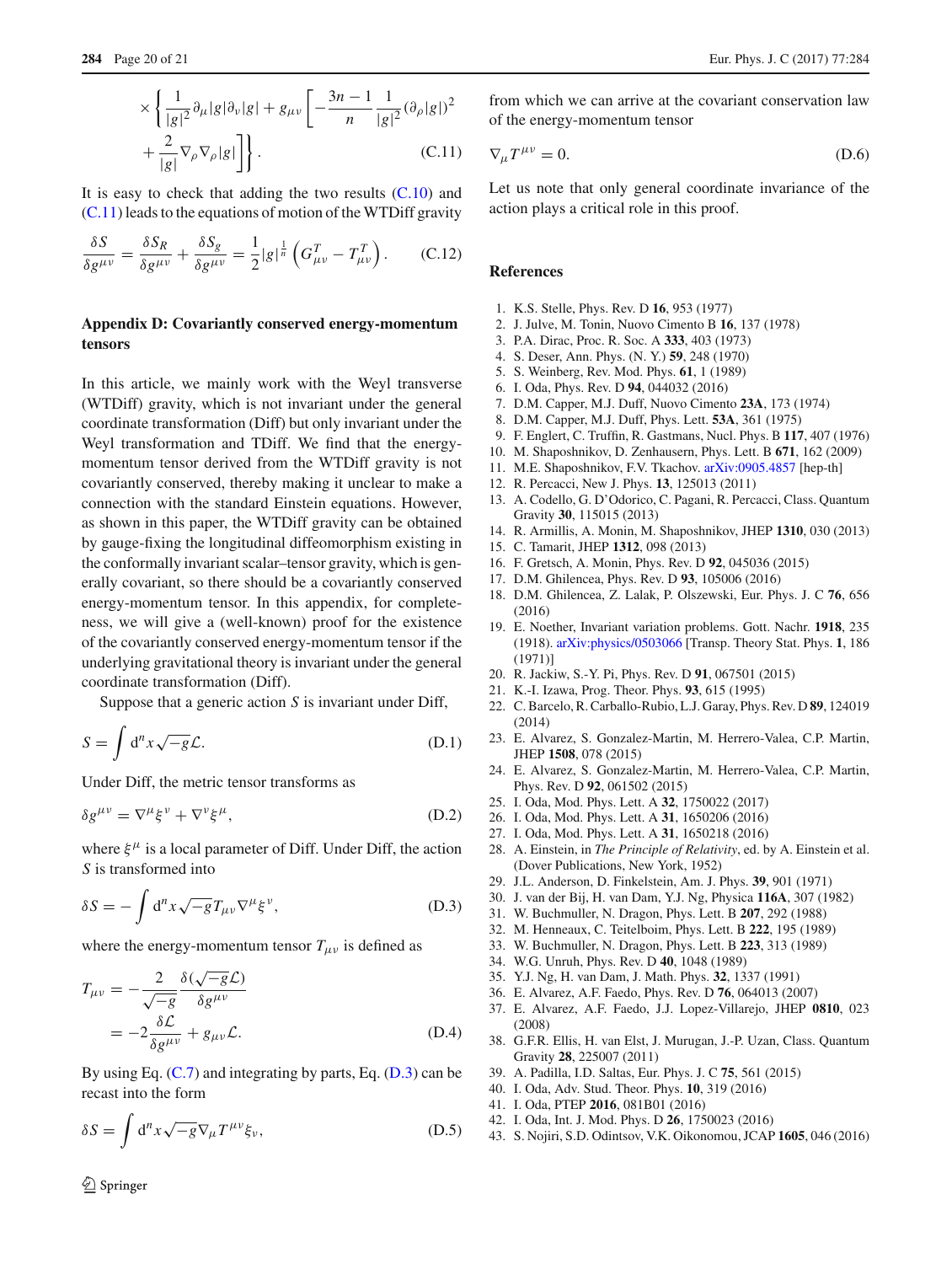$$
\times \left\{ \frac{1}{|g|^2} \partial_\mu |g| \partial_\nu |g| + g_{\mu\nu} \left[ -\frac{3n-1}{n} \frac{1}{|g|^2} (\partial_\rho |g|)^2 + \frac{2}{|g|} \nabla_\rho \nabla_\rho |g| \right] \right\}.
$$
\n(C.11)

It is easy to check that adding the two results  $(C.10)$  and [\(C.11\)](#page-18-5) leads to the equations of motion of the WTDiff gravity

<span id="page-19-16"></span>
$$
\frac{\delta S}{\delta g^{\mu\nu}} = \frac{\delta S_R}{\delta g^{\mu\nu}} + \frac{\delta S_g}{\delta g^{\mu\nu}} = \frac{1}{2} |g|^{\frac{1}{n}} \left( G_{\mu\nu}^T - T_{\mu\nu}^T \right). \tag{C.12}
$$

## **Appendix D: Covariantly conserved energy-momentum tensors**

In this article, we mainly work with the Weyl transverse (WTDiff) gravity, which is not invariant under the general coordinate transformation (Diff) but only invariant under the Weyl transformation and TDiff. We find that the energymomentum tensor derived from the WTDiff gravity is not covariantly conserved, thereby making it unclear to make a connection with the standard Einstein equations. However, as shown in this paper, the WTDiff gravity can be obtained by gauge-fixing the longitudinal diffeomorphism existing in the conformally invariant scalar–tensor gravity, which is generally covariant, so there should be a covariantly conserved energy-momentum tensor. In this appendix, for completeness, we will give a (well-known) proof for the existence of the covariantly conserved energy-momentum tensor if the underlying gravitational theory is invariant under the general coordinate transformation (Diff).

Suppose that a generic action *S* is invariant under Diff,

$$
S = \int d^n x \sqrt{-g} \mathcal{L}.
$$
 (D.1)

Under Diff, the metric tensor transforms as

$$
\delta g^{\mu\nu} = \nabla^{\mu} \xi^{\nu} + \nabla^{\nu} \xi^{\mu}, \tag{D.2}
$$

where  $\xi^{\mu}$  is a local parameter of Diff. Under Diff, the action *S* is transformed into

<span id="page-19-18"></span>
$$
\delta S = -\int d^n x \sqrt{-g} T_{\mu\nu} \nabla^\mu \xi^\nu, \tag{D.3}
$$

where the energy-momentum tensor  $T_{\mu\nu}$  is defined as

$$
T_{\mu\nu} = -\frac{2}{\sqrt{-g}} \frac{\delta(\sqrt{-g}\mathcal{L})}{\delta g^{\mu\nu}}
$$
  
= 
$$
-2 \frac{\delta \mathcal{L}}{\delta g^{\mu\nu}} + g_{\mu\nu} \mathcal{L}.
$$
 (D.4)

By using Eq.  $(C.7)$  and integrating by parts, Eq.  $(D.3)$  can be recast into the form

$$
\delta S = \int d^n x \sqrt{-g} \nabla_\mu T^{\mu\nu} \xi_\nu, \tag{D.5}
$$

from which we can arrive at the covariant conservation law of the energy-momentum tensor

$$
\nabla_{\mu}T^{\mu\nu} = 0. \tag{D.6}
$$

Let us note that only general coordinate invariance of the action plays a critical role in this proof.

## **References**

- <span id="page-19-0"></span>1. K.S. Stelle, Phys. Rev. D **16**, 953 (1977)
- <span id="page-19-1"></span>2. J. Julve, M. Tonin, Nuovo Cimento B **16**, 137 (1978)
- <span id="page-19-2"></span>3. P.A. Dirac, Proc. R. Soc. A **333**, 403 (1973)
- <span id="page-19-3"></span>4. S. Deser, Ann. Phys. (N. Y.) **59**, 248 (1970)
- <span id="page-19-4"></span>5. S. Weinberg, Rev. Mod. Phys. **61**, 1 (1989)
- <span id="page-19-5"></span>6. I. Oda, Phys. Rev. D **94**, 044032 (2016)
- <span id="page-19-6"></span>7. D.M. Capper, M.J. Duff, Nuovo Cimento **23A**, 173 (1974)
- <span id="page-19-7"></span>8. D.M. Capper, M.J. Duff, Phys. Lett. **53A**, 361 (1975)
- <span id="page-19-8"></span>9. F. Englert, C. Truffin, R. Gastmans, Nucl. Phys. B **117**, 407 (1976)
- <span id="page-19-9"></span>10. M. Shaposhnikov, D. Zenhausern, Phys. Lett. B **671**, 162 (2009)
- 11. M.E. Shaposhnikov, F.V. Tkachov. [arXiv:0905.4857](http://arxiv.org/abs/0905.4857) [hep-th]
- 12. R. Percacci, New J. Phys. **13**, 125013 (2011)
- 13. A. Codello, G. D'Odorico, C. Pagani, R. Percacci, Class. Quantum Gravity **30**, 115015 (2013)
- 14. R. Armillis, A. Monin, M. Shaposhnikov, JHEP **1310**, 030 (2013)
- <span id="page-19-17"></span>15. C. Tamarit, JHEP **1312**, 098 (2013)
- 16. F. Gretsch, A. Monin, Phys. Rev. D **92**, 045036 (2015)
- 17. D.M. Ghilencea, Phys. Rev. D **93**, 105006 (2016)
- <span id="page-19-10"></span>18. D.M. Ghilencea, Z. Lalak, P. Olszewski, Eur. Phys. J. C **76**, 656 (2016)
- <span id="page-19-11"></span>19. E. Noether, Invariant variation problems. Gott. Nachr. **1918**, 235 (1918). [arXiv:physics/0503066](http://arxiv.org/abs/physics/0503066) [Transp. Theory Stat. Phys. **1**, 186 (1971)]
- <span id="page-19-12"></span>20. R. Jackiw, S.-Y. Pi, Phys. Rev. D **91**, 067501 (2015)
- <span id="page-19-13"></span>21. K.-I. Izawa, Prog. Theor. Phys. **93**, 615 (1995)
- 22. C. Barcelo, R. Carballo-Rubio, L.J. Garay, Phys. Rev. D **89**, 124019 (2014)
- 23. E. Alvarez, S. Gonzalez-Martin, M. Herrero-Valea, C.P. Martin, JHEP **1508**, 078 (2015)
- 24. E. Alvarez, S. Gonzalez-Martin, M. Herrero-Valea, C.P. Martin, Phys. Rev. D **92**, 061502 (2015)
- 25. I. Oda, Mod. Phys. Lett. A **32**, 1750022 (2017)
- 26. I. Oda, Mod. Phys. Lett. A **31**, 1650206 (2016)
- <span id="page-19-14"></span>27. I. Oda, Mod. Phys. Lett. A **31**, 1650218 (2016)
- <span id="page-19-15"></span>28. A. Einstein, in *The Principle of Relativity*, ed. by A. Einstein et al. (Dover Publications, New York, 1952)
- 29. J.L. Anderson, D. Finkelstein, Am. J. Phys. **39**, 901 (1971)
- 30. J. van der Bij, H. van Dam, Y.J. Ng, Physica **116A**, 307 (1982)
- 31. W. Buchmuller, N. Dragon, Phys. Lett. B **207**, 292 (1988)
- 32. M. Henneaux, C. Teitelboim, Phys. Lett. B **222**, 195 (1989)
- 33. W. Buchmuller, N. Dragon, Phys. Lett. B **223**, 313 (1989)
- 34. W.G. Unruh, Phys. Rev. D **40**, 1048 (1989)
- 35. Y.J. Ng, H. van Dam, J. Math. Phys. **32**, 1337 (1991)
- 36. E. Alvarez, A.F. Faedo, Phys. Rev. D **76**, 064013 (2007)
- 37. E. Alvarez, A.F. Faedo, J.J. Lopez-Villarejo, JHEP **0810**, 023 (2008)
- 38. G.F.R. Ellis, H. van Elst, J. Murugan, J.-P. Uzan, Class. Quantum Gravity **28**, 225007 (2011)
- 39. A. Padilla, I.D. Saltas, Eur. Phys. J. C **75**, 561 (2015)
- 40. I. Oda, Adv. Stud. Theor. Phys. **10**, 319 (2016)
- 41. I. Oda, PTEP **2016**, 081B01 (2016)
- 42. I. Oda, Int. J. Mod. Phys. D **26**, 1750023 (2016)
- 43. S. Nojiri, S.D. Odintsov, V.K. Oikonomou, JCAP **1605**, 046 (2016)